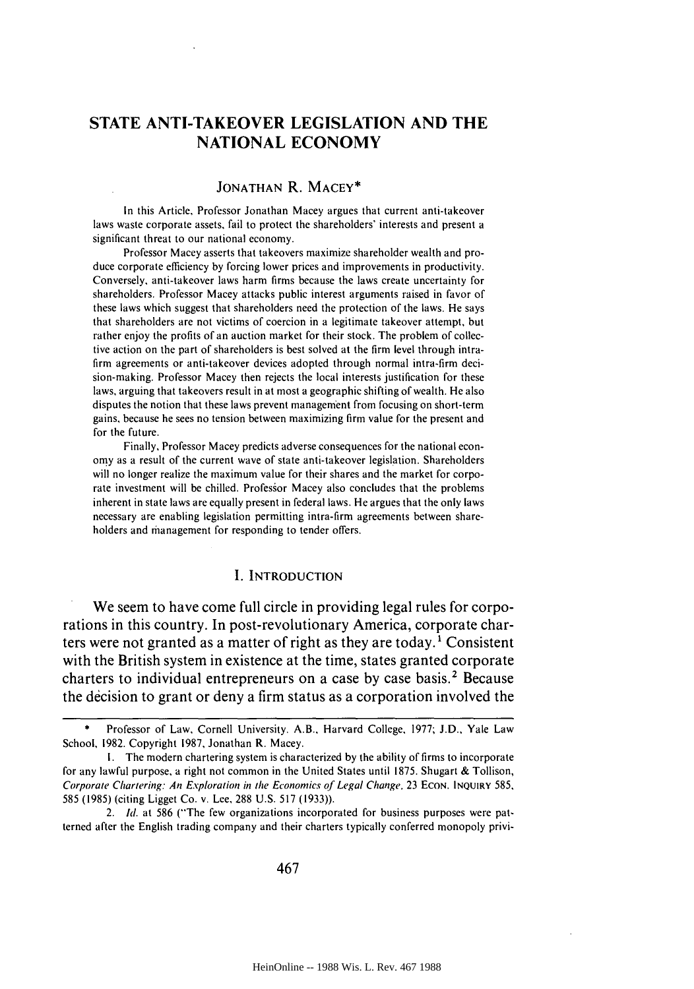# **STATE ANTI-TAKEOVER LEGISLATION AND THE NATIONAL ECONOMY**

### JONATHAN R. MACEY\*

In this Article, Professor Jonathan Macey argues that current anti-takeover laws waste corporate assets, fail to protect the shareholders' interests and present a significant threat to our national economy.

Professor Macey asserts that takeovers maximize shareholder wealth and produce corporate efficiency **by** forcing lower prices and improvements in productivity. Conversely, anti-takeover laws harm firms because the laws create uncertainty for shareholders. Professor Macey attacks public interest arguments raised in favor of these laws which suggest that shareholders need the protection of the laws. He says that shareholders are not victims of coercion in a legitimate takeover attempt, but rather enjoy the profits of an auction market for their stock. The problem of collective action on the part of shareholders is best solved at the firm level through intrafirm agreements or anti-takeover devices adopted through normal intra-firm decision-making. Professor Macey then rejects the local interests justification for these laws, arguing that takeovers result in at most a geographic shifting of wealth. He also disputes the notion that these laws prevent management from focusing on short-term gains, because he sees no tension between maximizing firm value for the present and for the future.

Finally, Professor Macey predicts adverse consequences for the national economy as a result of the current wave of state anti-takeover legislation. Shareholders will no longer realize the maximum value for their shares and the market for corporate investment will be chilled. Professor Macey also concludes that the problems inherent in state laws are equally present in federal laws. He argues that the only laws necessary are enabling legislation permitting intra-firm agreements between shareholders and management for responding to tender offers.

### **I.** INTRODUCTION

We seem to have come full circle in providing legal rules for corporations in this country. In post-revolutionary America, corporate charters were not granted as a matter of right as they are today.<sup>1</sup> Consistent with the British system in existence at the time, states granted corporate charters to individual entrepreneurs on a case **by** case basis.2 Because the decision to grant or deny a firm status as a corporation involved the

2. **Id.** at 586 ("The few organizations incorporated for business purposes were patterned after the English trading company and their charters typically conferred monopoly privi-

Professor of Law, Cornell University. A.B., Harvard College, 1977; J.D., Yale Law School, 1982. Copyright 1987, Jonathan R. Macey.

I. The modern chartering system is characterized by the ability of firms to incorporate for any lawful purpose, a right not common in the United States until 1875. Shugart & Tollison, Corporate Chartering: An Exploration in the Economics of Legal Change, 23 ECON. INQUIRY 585, 585 (1985) (citing Ligget Co. v. Lee, 288 U.S. 517 (1933)).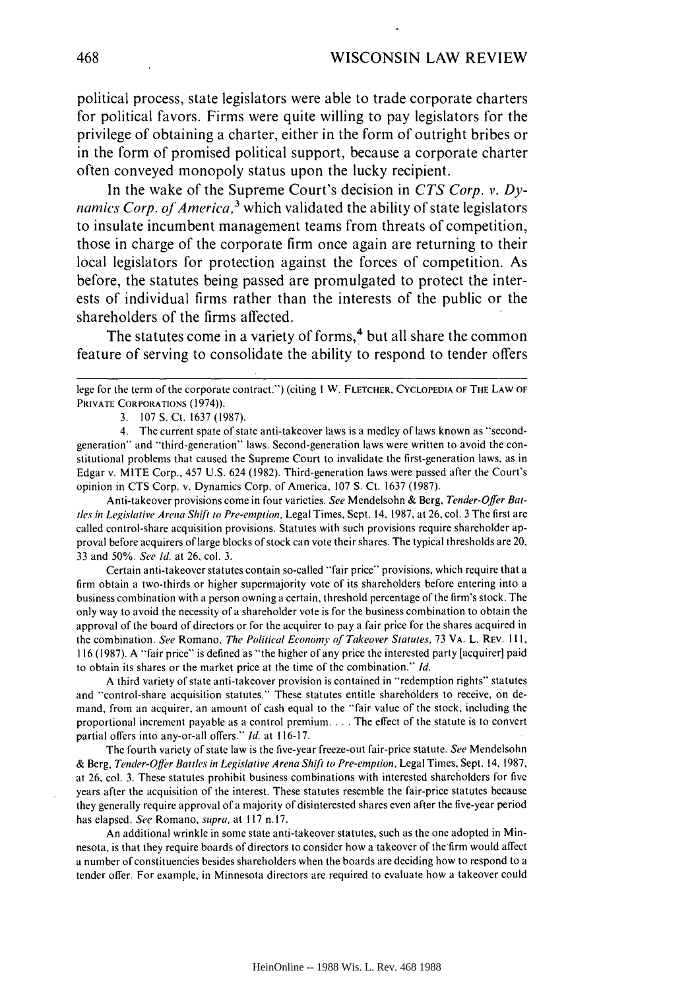political process, state legislators were able to trade corporate charters for political favors. Firms were quite willing to pay legislators for the privilege of obtaining a charter, either in the form of outright bribes or in the form of promised political support, because a corporate charter often conveyed monopoly status upon the lucky recipient.

In the wake of the Supreme Court's decision in *CTS Corp. v. Dynamics Corp. of America,3* which validated the ability of state legislators to insulate incumbent management teams from threats of competition, those in charge of the corporate firm once again are returning to their local legislators for protection against the forces of competition. As before, the statutes being passed are promulgated to protect the interests of individual firms rather than the interests of the public or the shareholders of the firms affected.

The statutes come in a variety of forms,<sup>4</sup> but all share the common feature of serving to consolidate the ability to respond to tender offers

3. 107 **S.** Ct. 1637 (1987).

4. The current spate of state anti-takeover laws is a medley of laws known as "secondgeneration" and "third-generation" laws. Second-generation laws were written to avoid the constitutional problems that caused the Supreme Court to invalidate the first-generation laws, as in Edgar v. MITE Corp., 457 U.S. 624 (1982). Third-generation laws were passed after the Court's opinion in **CTS** Corp. v. Dynamics Corp. of America, 107 S. Ct. 1637 (1987).

Anti-takeover provisions come in four varieties. See Mendelsohn & Berg, Tender-Offer Bat*ties* in Legislative Arena Shift to Pre-emption, Legal Times, Sept. 14, 1987, at 26, col. 3 The first are called control-share acquisition provisions. Statutes with such provisions require shareholder approval before acquirers of large blocks of stock can vote their shares. The typical thresholds are 20, 33 and 50%. See **Id.** at 26, col. 3.

Certain anti-takeover statutes contain so-called "fair price" provisions, which require that a firm obtain a two-thirds or higher supermajority vote of its shareholders before entering into a business combination with a person owning a certain, threshold percentage of the firm's stock. The only way to avoid the necessity of a shareholder vote is for the business combination to obtain the approval of the board of directors or for the acquirer to pay a fair price for the shares acquired in the combination. See Romano, The Political Economy **of** Takeover Statutes, 73 VA. L. REV. I **11,** 116 (1987). A "fair price" is defined as "the higher of any price the interested party [acquirer] paid to obtain its shares or the market price at the time of the combination." Id.

A third variety of state anti-takeover provision is contained in "redemption rights" statutes and "control-share acquisition statutes." These statutes entitle shareholders to receive, on demand, from an acquirer, an amount of cash equal to the "fair value of the stock, including the proportional increment payable as a control premium **....** The effect of the statute is to convert partial offers into any-or-all offers." **Id.** at 116-17.

The fourth variety of state law is the five-year freeze-out fair-price statute. See Mendelsohn & Berg, Tender-Offr Battles in Legislative Arena Shift to Pre-emption, Legal Times, Sept. 14, 1987, at 26, col. 3. These statutes prohibit business combinations with interested shareholders for five years after the acquisition of the interest. These statutes resemble the fair-price statutes because they generally require approval of a majority of disinterested shares even after the five-year period has elapsed. See Romano, supra, at 117 n.17.

An additional wrinkle in some state anti-takeover statutes, such as the one adopted in Minnesota, is that they require boards of directors to consider how a takeover of the firm would affect a number of constituencies besides shareholders when the boards are deciding how to respond to a tender offer. For example, in Minnesota directors are required to evaluate how a takeover could

lege for the term of the corporate contract.") (citing I W. FLETCHER, **CYCLOPEDIA** OF THE LAW OF PRIVATE CORPORATIONS (1974)).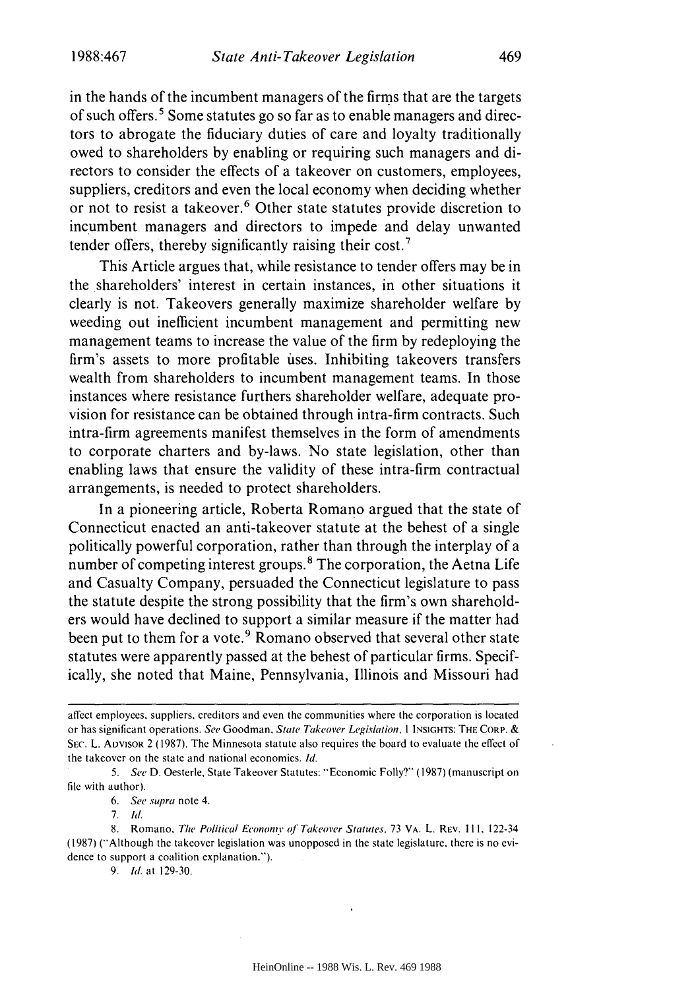in the hands of the incumbent managers of the firms that are the targets of such offers.' Some statutes go so far as to enable managers and directors to abrogate the fiduciary duties of care and loyalty traditionally owed to shareholders by enabling or requiring such managers and directors to consider the effects of a takeover on customers, employees, suppliers, creditors and even the local economy when deciding whether or not to resist a takeover.<sup>6</sup> Other state statutes provide discretion to incumbent managers and directors to impede and delay unwanted tender offers, thereby significantly raising their cost.'

This Article argues that, while resistance to tender offers may be in the shareholders' interest in certain instances, in other situations it clearly is not. Takeovers generally maximize shareholder welfare by weeding out inefficient incumbent management and permitting new management teams to increase the value of the firm by redeploying the firm's assets to more profitable ises. Inhibiting takeovers transfers wealth from shareholders to incumbent management teams. In those instances where resistance furthers shareholder welfare, adequate provision for resistance can be obtained through intra-firm contracts. Such intra-firm agreements manifest themselves in the form of amendments to corporate charters and by-laws. No state legislation, other than enabling laws that ensure the validity of these intra-firm contractual arrangements, is needed to protect shareholders.

In a pioneering article, Roberta Romano argued that the state of Connecticut enacted an anti-takeover statute at the behest of a single politically powerful corporation, rather than through the interplay of a number of competing interest groups.<sup>8</sup> The corporation, the Aetna Life and Casualty Company, persuaded the Connecticut legislature to pass the statute despite the strong possibility that the firm's own shareholders would have declined to support a similar measure if the matter had been put to them for a vote.<sup>9</sup> Romano observed that several other state statutes were apparently passed at the behest of particular firms. Specifically, she noted that Maine, Pennsylvania, Illinois and Missouri had

*6.* See *supra* note 4.

9. *Id.* at 129-30.

affect employees, suppliers, creditors and even the communities where the corporation is located or has significant operations. *See* Goodman, State Takeover *Legislation, I* **INSIGHTS:** THE CORP. & SEC. L. ADVISOR 2 (1987). The Minnesota statute also requires the board to evaluate the effect of the takeover on the state and national economies. *Id.*

<sup>5.</sup> See D. Oesterle, State Takeover Statutes: "Economic Folly?" (1987) (manuscript on file with author).

<sup>7.</sup> **Id.**

<sup>8.</sup> Romano, The Political Economy of Takeover Statutes, 73 VA. L. REV. 111, 122-34 (1987) ("Although the takeover legislation was unopposed in the state legislature, there is no evidence to support a coalition explanation.").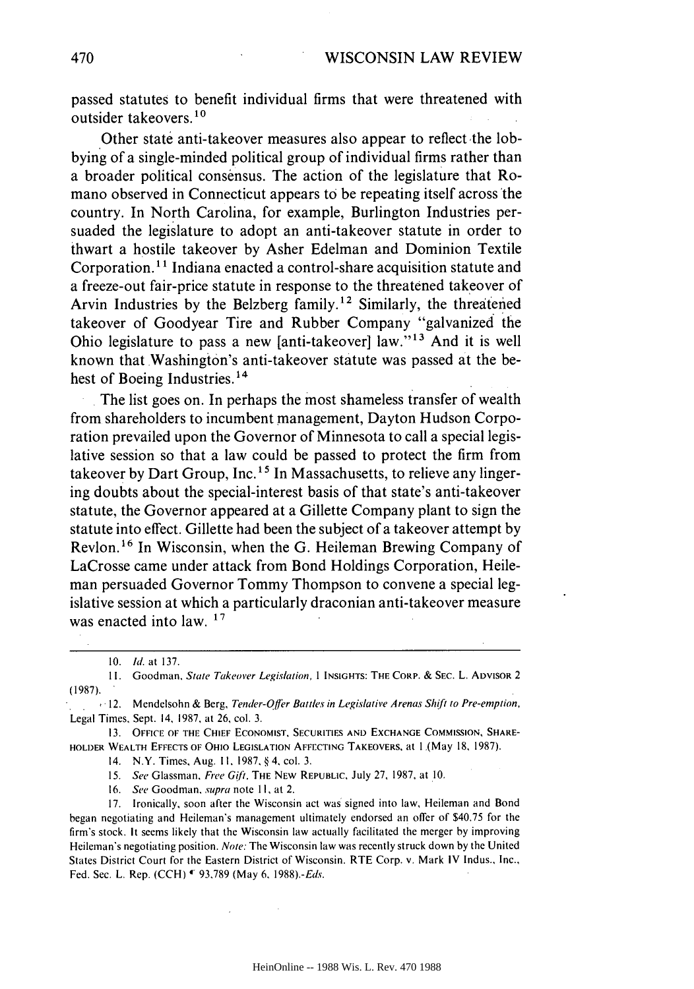passed statutes to benefit individual firms that were threatened with outsider takeovers.<sup>10</sup>

Other state anti-takeover measures also appear to reflect the lobbying of a single-minded political group of individual firms rather than a broader political consensus. The action of the legislature that Romano observed in Connecticut appears to be repeating itself across'the country. In North Carolina, for example, Burlington Industries persuaded the legislature to adopt an anti-takeover statute in order to thwart a hostile takeover by Asher Edelman and Dominion Textile Corporation.<sup>11</sup> Indiana enacted a control-share acquisition statute and a freeze-out fair-price statute in response to the threatened takeover of Arvin Industries by the Belzberg family.<sup>12</sup> Similarly, the threatened takeover of Goodyear Tire and Rubber Company "galvanized the Ohio legislature to pass a new [anti-takeover] law."<sup>13</sup> And it is well known that Washington's anti-takeover statute was passed at the behest of Boeing Industries.<sup>14</sup>

The list goes on. In perhaps the most shameless transfer of wealth from shareholders to incumbent management, Dayton Hudson Corporation prevailed upon the Governor of Minnesota to call a special legislative session so that a law could be passed to protect the firm from takeover by Dart Group, Inc.<sup>15</sup> In Massachusetts, to relieve any lingering doubts about the special-interest basis of that state's anti-takeover statute, the Governor appeared at a Gillette Company plant to sign the statute into effect. Gillette had been the subject of a takeover attempt by Revlon.<sup>16</sup> In Wisconsin, when the G. Heileman Brewing Company of LaCrosse came under attack from Bond Holdings Corporation, Heileman persuaded Governor Tommy Thompson to convene a special legislative session at which a particularly draconian anti-takeover measure was enacted into law. **<sup>17</sup>**

**1I.** Goodman, State Takeover Legislation, **I INSIGHTS:** THE CORP. & **SEC.** L. ADVISOR 2 (1987).

 $+12.$  Mendelsohn & Berg, Tender-Offer Battles in Legislative Arenas Shift to Pre-emption, Legal Times, Sept. 14, 1987, at 26, col. 3.

13. **OFFICE** OF THE **CHIEF ECONOMIST, SECURITIES AND EXCHANGE COMMISSION,** SHARE-HOLDER WEALTH EFFECTS OF OHIO **LEGISLATION AFFECTING** TAKEOVERS, at I (May **18,** 1987).

14. N.Y. Times, Aug. **I1,** 1987, § 4, col. 3.

15. See Glassman, Free Gift, THE NEW REPUBLIC, July 27, 1987, at 10.

16. See Goodman, supra note *1I,* at 2.

17. Ironically, soon after the Wisconsin act was' signed into law, Heileman and Bond began negotiating and Heileman's management ultimately endorsed an offer of \$40.75 for the firm's stock. It seems likely that the Wisconsin law actually facilitated the merger by improving Heileman's negotiating position. Note: The Wisconsin law was recently struck down by the United States District Court for the Eastern District of Wisconsin. RTE Corp. v. Mark IV Indus., Inc., Fed. Sec. L. Rep. (CCH) **'-** 93.789 (May 6. 1988).-Eds.

<sup>10.</sup> **Id.** at 137.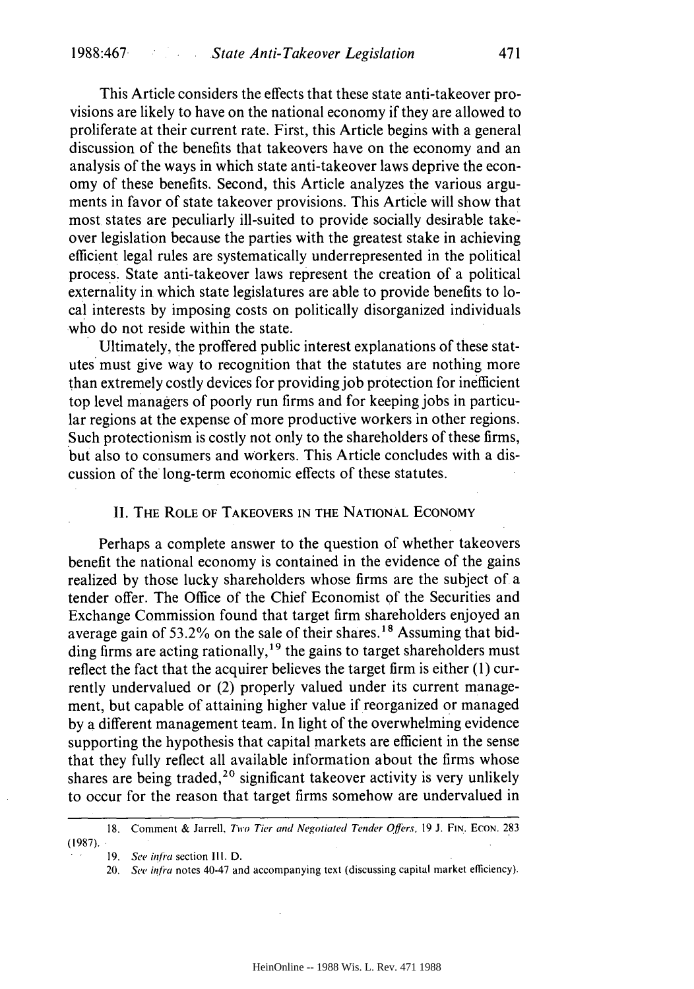This Article considers the effects that these state anti-takeover provisions are likely to have on the national economy if they are allowed to proliferate at their current rate. First, this Article begins with a general discussion of the benefits that takeovers have on the economy and an analysis of the ways in which state anti-takeover laws deprive the economy of these benefits. Second, this Article analyzes the various arguments in favor of state takeover provisions. This Article will show that most states are peculiarly ill-suited to provide socially desirable takeover legislation because the parties with the greatest stake in achieving efficient legal rules are systematically underrepresented in the political process. State anti-takeover laws represent the creation of a political externality in which state legislatures are able to provide benefits to local interests by imposing costs on politically disorganized individuals who do not reside within the state.

Ultimately, the proffered public interest explanations of these statutes must give way to recognition that the statutes are nothing more than extremely costly devices for providing job protection for inefficient top level managers of poorly run firms and for keeping jobs in particular regions at the expense of more productive workers in other regions. Such protectionism is costly not only to the shareholders of these firms, but also to consumers and workers. This Article concludes with a discussion of the long-term economic effects of these statutes.

### II. THE ROLE OF TAKEOVERS **IN** THE **NATIONAL ECONOMY**

Perhaps a complete answer to the question of whether takeovers benefit the national economy is contained in the evidence of the gains realized by those lucky shareholders whose firms are the subject of a tender offer. The Office of the Chief Economist of the Securities and Exchange Commission found that target firm shareholders enjoyed an average gain of 53.2% on the sale of their shares.<sup>18</sup> Assuming that bidding firms are acting rationally,<sup>19</sup> the gains to target shareholders must reflect the fact that the acquirer believes the target firm is either (1) currently undervalued or (2) properly valued under its current management, but capable of attaining higher value if reorganized or managed by a different management team. In light of the overwhelming evidence supporting the hypothesis that capital markets are efficient in the sense that they fully reflect all available information about the firms whose shares are being traded,<sup>20</sup> significant takeover activity is very unlikely to occur for the reason that target firms somehow are undervalued in

<sup>18.</sup> Comment & Jarrell, Two Tier and Negotiated Tender Qffers, **19 J. FIN. ECON.** 283  $(1987)$ .

<sup>19.</sup> See infra section III. D.

<sup>20.</sup> See *infra* notes 40-47 and accompanying text (discussing capital market efficiency).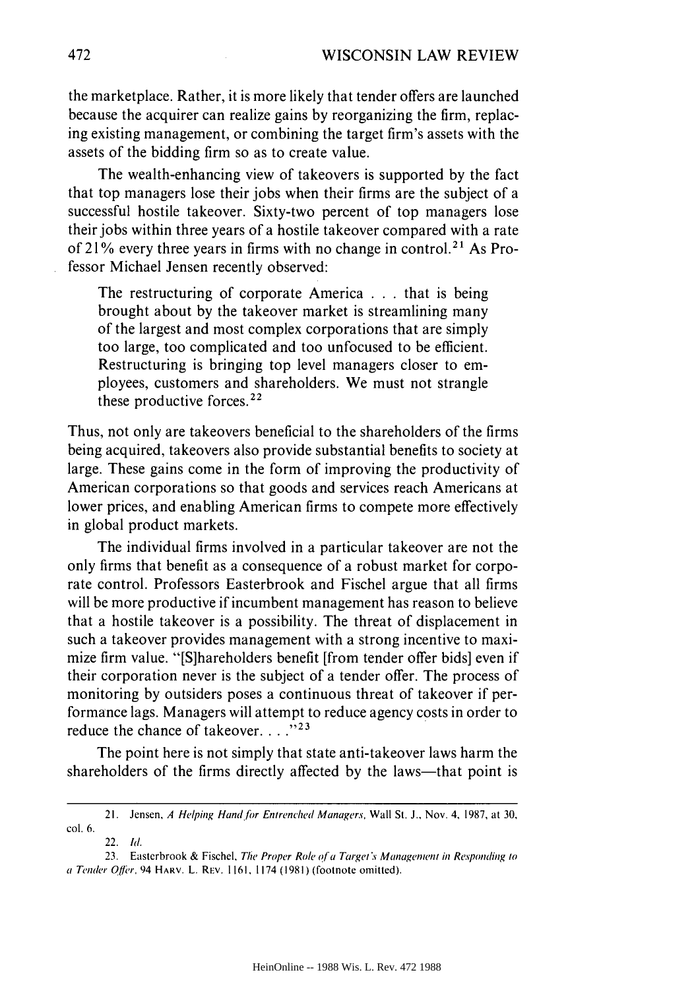the marketplace. Rather, it is more likely that tender offers are launched because the acquirer can realize gains by reorganizing the firm, replacing existing management, or combining the target firm's assets with the assets of the bidding firm so as to create value.

The wealth-enhancing view of takeovers is supported by the fact that top managers lose their jobs when their firms are the subject of a successful hostile takeover. Sixty-two percent of top managers lose their jobs within three years of a hostile takeover compared with a rate of 21% every three years in firms with no change in control.<sup>21</sup> As Professor Michael Jensen recently observed:

The restructuring of corporate America . . . that is being brought about by the takeover market is streamlining many of the largest and most complex corporations that are simply too large, too complicated and too unfocused to be efficient. Restructuring is bringing top level managers closer to employees, customers and shareholders. We must not strangle these productive forces. $22$ 

Thus, not only are takeovers beneficial to the shareholders of the firms being acquired, takeovers also provide substantial benefits to society at large. These gains come in the form of improving the productivity of American corporations so that goods and services reach Americans at lower prices, and enabling American firms to compete more effectively in global product markets.

The individual firms involved in a particular takeover are not the only firms that benefit as a consequence of a robust market for corporate control. Professors Easterbrook and Fischel argue that all firms will be more productive if incumbent management has reason to believe that a hostile takeover is a possibility. The threat of displacement in such a takeover provides management with a strong incentive to maximize firm value. "[S]hareholders benefit [from tender offer bids] even if their corporation never is the subject of a tender offer. The process of monitoring by outsiders poses a continuous threat of takeover if performance lags. Managers will attempt to reduce agency costs in order to reduce the chance of takeover...."<sup>23</sup>

The point here is not simply that state anti-takeover laws harm the shareholders of the firms directly affected by the laws—that point is

<sup>21.</sup> Jensen, A Helping *Hand* for Entrenched Managers, Wall St. **J.,** Nov. 4, 1987, at 30, col. 6.

<sup>22.</sup> *Id.*

<sup>23.</sup> Easterbrook & Fischel, *The* Proper Role of a Target *s* Management in Responding to a Tender Offer, 94 HARV. L. REV. 1161, 1174 (1981) (footnote omitted).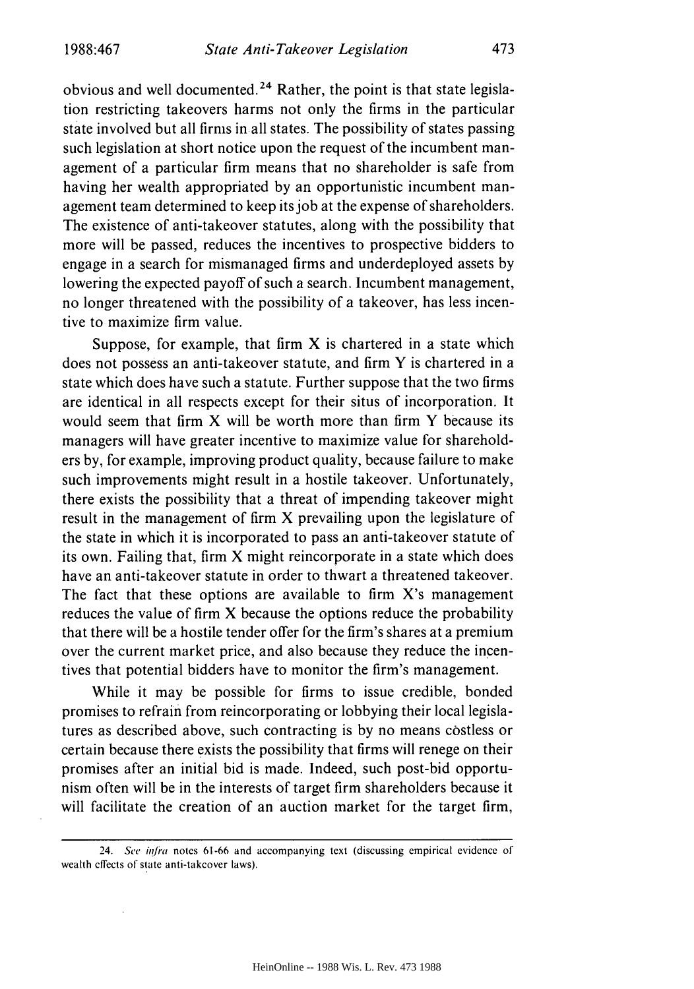obvious and well documented.<sup>24</sup> Rather, the point is that state legislation restricting takeovers harms not only the firms in the particular state involved but all firms in all states. The possibility of states passing such legislation at short notice upon the request of the incumbent management of a particular firm means that no shareholder is safe from having her wealth appropriated by an opportunistic incumbent management team determined to keep its job at the expense of shareholders. The existence of anti-takeover statutes, along with the possibility that more will be passed, reduces the incentives to prospective bidders to engage in a search for mismanaged firms and underdeployed assets by lowering the expected payoff of such a search. Incumbent management, no longer threatened with the possibility of a takeover, has less incentive to maximize firm value.

Suppose, for example, that firm  $X$  is chartered in a state which does not possess an anti-takeover statute, and firm Y is chartered in a state which does have such a statute. Further suppose that the two firms are identical in all respects except for their situs of incorporation. It would seem that firm X will be worth more than firm Y because its managers will have greater incentive to maximize value for shareholders by, for example, improving product quality, because failure to make such improvements might result in a hostile takeover. Unfortunately, there exists the possibility that a threat of impending takeover might result in the management of firm X prevailing upon the legislature of the state in which it is incorporated to pass an anti-takeover statute of its own. Failing that, firm X might reincorporate in a state which does have an anti-takeover statute in order to thwart a threatened takeover. The fact that these options are available to firm X's management reduces the value of firm X because the options reduce the probability that there will be a hostile tender offer for the firm's shares at a premium over the current market price, and also because they reduce the incentives that potential bidders have to monitor the firm's management.

While it may be possible for firms to issue credible, bonded promises to refrain from reincorporating or lobbying their local legislatures as described above, such contracting is by no means costless or certain because there exists the possibility that firms will renege on their promises after an initial bid is made. Indeed, such post-bid opportunism often will be in the interests of target firm shareholders because it will facilitate the creation of an auction market for the target firm,

<sup>24.</sup> See infra notes 61-66 and accompanying text (discussing empirical evidence of wealth effects of state anti-takeover laws).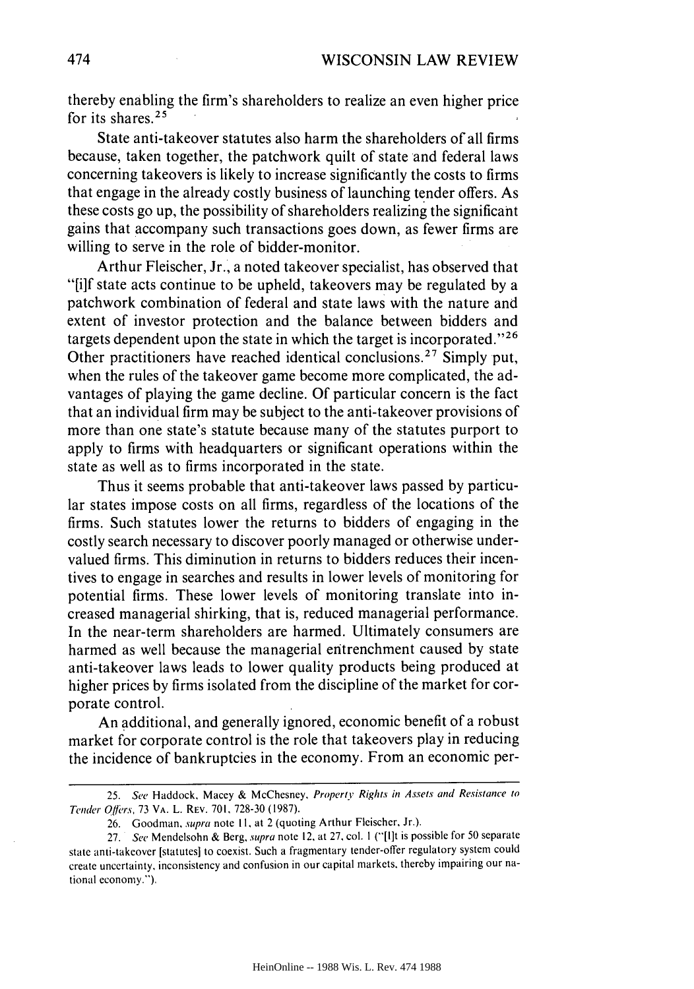thereby enabling the firm's shareholders to realize an even higher price for its shares. $2$ 

State anti-takeover statutes also harm the shareholders of all firms because, taken together, the patchwork quilt of state and federal laws concerning takeovers is likely to increase significantly the costs to firms that engage in the already costly business of launching tender offers. As these costs go up, the possibility of shareholders realizing the significant gains that accompany such transactions goes down, as fewer firms are willing to serve in the role of bidder-monitor.

Arthur Fleischer, Jr., a noted takeover specialist, has observed that "[i]f state acts continue to be upheld, takeovers may be regulated by a patchwork combination of federal and state laws with the nature and extent of investor protection and the balance between bidders and targets dependent upon the state in which the target is incorporated."<sup>26</sup> Other practitioners have reached identical conclusions.<sup>27</sup> Simply put, when the rules of the takeover game become more complicated, the advantages of playing the game decline. Of particular concern is the fact that an individual firm may be subject to the anti-takeover provisions of more than one state's statute because many of the statutes purport to apply to firms with headquarters or significant operations within the state as well as to firms incorporated in the state.

Thus it seems probable that anti-takeover laws passed by particular states impose costs on all firms, regardless of the locations of the firms. Such statutes lower the returns to bidders of engaging in the costly search necessary to discover poorly managed or otherwise undervalued firms. This diminution in returns to bidders reduces their incentives to engage in searches and results in lower levels of monitoring for potential firms. These lower levels of monitoring translate into increased managerial shirking, that is, reduced managerial performance. In the near-term shareholders are harmed. Ultimately consumers are harmed as well because the managerial entrenchment caused by state anti-takeover laws leads to lower quality products being produced at higher prices by firms isolated from the discipline of the market for corporate control.

An additional, and generally ignored, economic benefit of a robust market for corporate control is the role that takeovers play in reducing the incidence of bankruptcies in the economy. From an economic per-

<sup>25.</sup> See Haddock, Macey & McChesney, *Properti Rights in Assets and Resistance to* Tender Offers, 73 VA. L. REV. **701,** 728-30 (1987).

<sup>26.</sup> Goodman, supra note **I1,** at 2 (quoting Arthur Fleischer, Jr.).

<sup>27.</sup> See Mendelsohn & Berg, supra note 12, at 27, col. **I** ("[I]t is possible for 50 separate state anti-takeover [statutes] to coexist. Such a fragmentary tender-offer regulatory system could create uncertainty, inconsistency and confusion in our capital markets, thereby impairing our national economy.").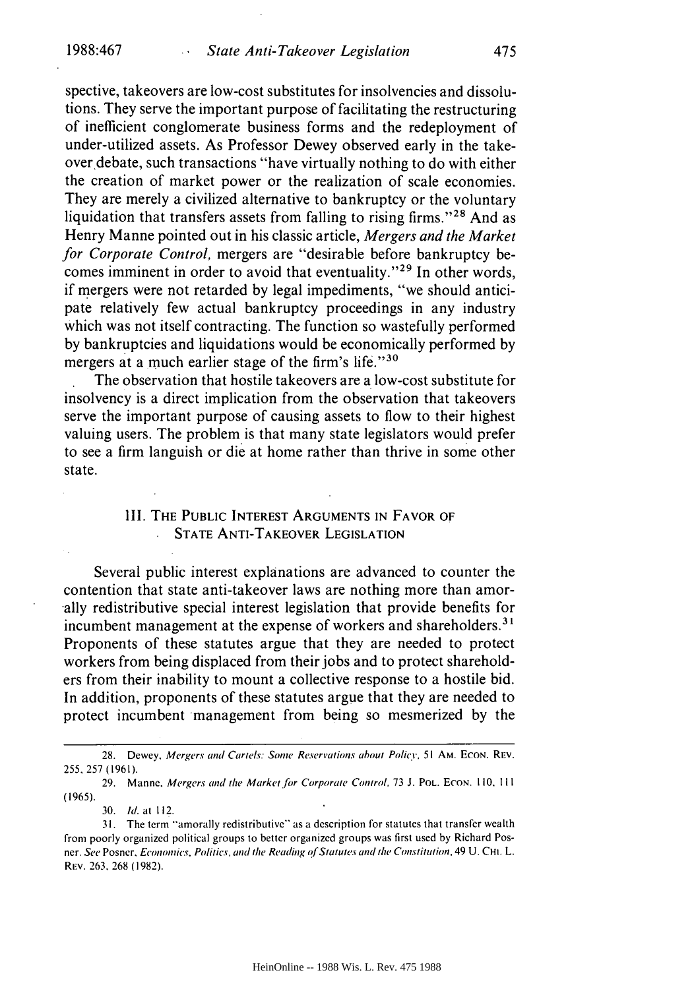spective, takeovers are low-cost substitutes for insolvencies and dissolutions. They serve the important purpose of facilitating the restructuring of inefficient conglomerate business forms and the redeployment of under-utilized assets. As Professor Dewey observed early in the takeover debate, such transactions "have virtually nothing to do with either the creation of market power or the realization of scale economies. They are merely a civilized alternative to bankruptcy or the voluntary liquidation that transfers assets from falling to rising firms."<sup>28</sup> And as Henry Manne pointed out in his classic article, *Mergers and the Market for Corporate Control,* mergers are "desirable before bankruptcy becomes imminent in order to avoid that eventuality." $29$  In other words, if mergers were not retarded by legal impediments, "we should anticipate relatively few actual bankruptcy proceedings in any industry which was not itself contracting. The function so wastefully performed by bankruptcies and liquidations would be economically performed by mergers at a much earlier stage of the firm's life." $30$ 

The observation that hostile takeovers are a low-cost substitute for insolvency is a direct implication from the observation that takeovers serve the important purpose of causing assets to flow to their highest valuing users. The problem is that many state legislators would prefer to see a firm languish or die at home rather than thrive in some other state.

## **III. THE PUBLIC INTEREST ARGUMENTS IN FAVOR OF STATE** ANTI-TAKEOVER **LEGISLATION**

Several public interest explanations are advanced to counter the contention that state anti-takeover laws are nothing more than amor- -ally redistributive special interest legislation that provide benefits for incumbent management at the expense of workers and shareholders.<sup>31</sup> Proponents of these statutes argue that they are needed to protect workers from being displaced from their jobs and to protect shareholders from their inability to mount a collective response to a hostile bid. In addition, proponents of these statutes argue that they are needed to protect incumbent management from being so mesmerized by the

<sup>28.</sup> Dewey, Mergers and Cartels: Some Reservations about Policy, **51** AM. **ECON.** REV. 255, 257 (1961).

<sup>29.</sup> Manne, Mergers and the Market for Corporate Control, 73 J. POL. ECoN. 110, **111** (1965).

**<sup>30.</sup> i. at** 112.

**<sup>31.</sup>** The term "amorally redistributive'" as a description for statutes that transfer wealth from poorly organized political groups to better organized groups was first used by Richard Posner. See Posner, Economics. Politics, and the Reading of Statutes and the *Constitution,* 49 U. CHI. L. REv. 263, 268 (1982).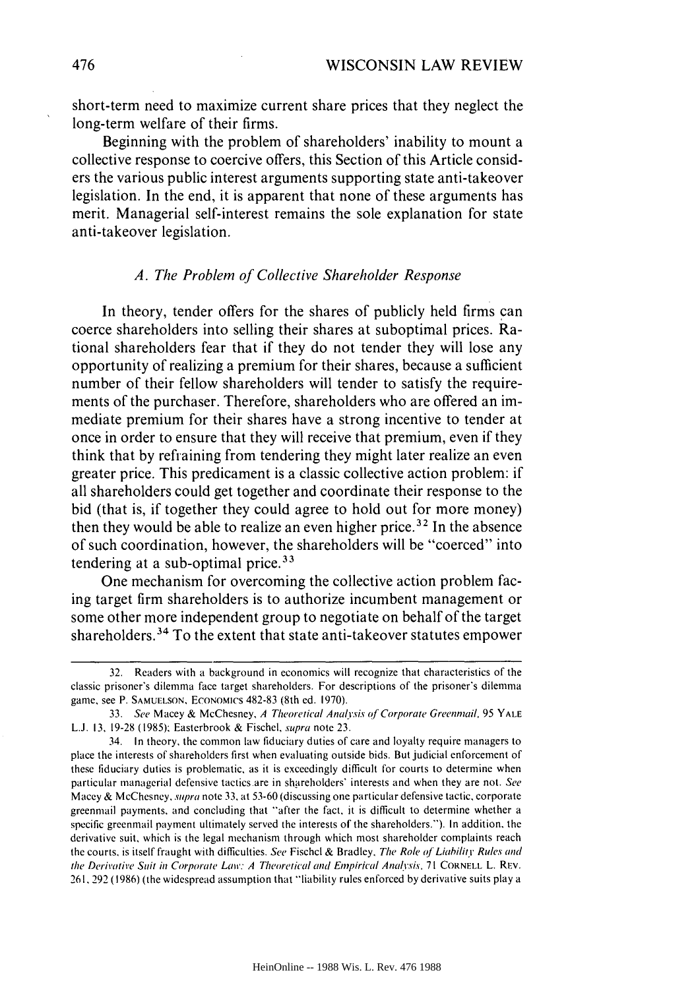short-term need to maximize current share prices that they neglect the long-term welfare of their firms.

Beginning with the problem of shareholders' inability to mount a collective response to coercive offers, this Section of this Article considers the various public interest arguments supporting state anti-takeover legislation. In the end, it is apparent that none of these arguments has merit. Managerial self-interest remains the sole explanation for state anti-takeover legislation.

#### *A. The Problem of Collective Shareholder Response*

In theory, tender offers for the shares of publicly held firms can coerce shareholders into selling their shares at suboptimal prices. Rational shareholders fear that if they do not tender they will lose any opportunity of realizing a premium for their shares, because a sufficient number of their fellow shareholders will tender to satisfy the requirements of the purchaser. Therefore, shareholders who are offered an immediate premium for their shares have a strong incentive to tender at once in order to ensure that they will receive that premium, even if they think that by refiaining from tendering they might later realize an even greater price. This predicament is a classic collective action problem: if all shareholders could get together and coordinate their response to the bid (that is, if together they could agree to hold out for more money) then they would be able to realize an even higher price.<sup>32</sup> In the absence of such coordination, however, the shareholders will be "coerced" into tendering at a sub-optimal price.<sup>33</sup>

One mechanism for overcoming the collective action problem facing target firm shareholders is to authorize incumbent management or some other more independent group to negotiate on behalf of the target shareholders. 34 To the extent that state anti-takeover statutes empower

<sup>32.</sup> Readers with a background in economics will recognize that characteristics of the classic prisoner's dilemma face target shareholders. For descriptions of the prisoner's dilemma game, see P. **SAMUELSON,** ECONOMicS 482-83 (8th ed. 1970).

<sup>33.</sup> See Macey & McChesney, A Theoretical Analysis of Corporate Greenmail, 95 YALE **L.J.** 13, 19-28 (1985); Easterbrook & Fischel, supra note 23.

<sup>34.</sup> In theory, the common law fiduciary duties of care and loyalty require managers to place the interests of shareholders first when evaluating outside bids. But judicial enforcement of these fiduciary duties is problematic, as it is exceedingly difficult for courts to determine when particular managerial defensive tactics are in shareholders' interests and when they are not. See Macey & McChesney, supra note 33, at 53-60 (discussing one particular defensive tactic, corporate greenmail payments, and concluding that "after the fact, it is difficult to determine whether a specific greenmail payment ultimately served the interests of the shareholders."). In addition, the derivative suit, which is the legal mechanism through which most shareholder complaints reach the courts, is itself fraught with difficulties. See Fischel & Bradley, The Role of Liability Rules and the Derivative Suit in Corporate Law: A Theoretical and Empirical Analysis, 71 CORNELL L. REV. 261. 292 (1986) (the widespread assumption that "liability rules enforced by derivative suits play a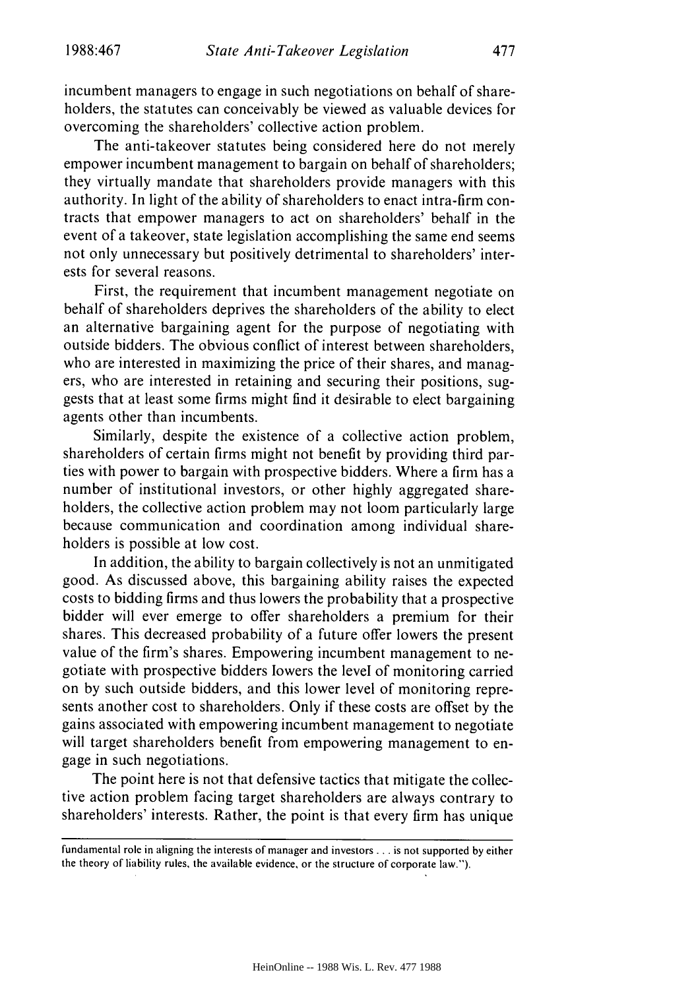incumbent managers to engage in such negotiations on behalf of shareholders, the statutes can conceivably be viewed as valuable devices for overcoming the shareholders' collective action problem.

The anti-takeover statutes being considered here do not merely empower incumbent management to bargain on behalf of shareholders; they virtually mandate that shareholders provide managers with this authority. In light of the ability of shareholders to enact intra-firm contracts that empower managers to act on shareholders' behalf in the event of a takeover, state legislation accomplishing the same end seems not only unnecessary but positively detrimental to shareholders' interests for several reasons.

First, the requirement that incumbent management negotiate on behalf of shareholders deprives the shareholders of the ability to elect an alternative bargaining agent for the purpose of negotiating with outside bidders. The obvious conflict of interest between shareholders, who are interested in maximizing the price of their shares, and managers, who are interested in retaining and securing their positions, suggests that at least some firms might find it desirable to elect bargaining agents other than incumbents.

Similarly, despite the existence of a collective action problem, shareholders of certain firms might not benefit by providing third parties with power to bargain with prospective bidders. Where a firm has a number of institutional investors, or other highly aggregated shareholders, the collective action problem may not loom particularly large because communication and coordination among individual shareholders is possible at low cost.

In addition, the ability to bargain collectively is not an unmitigated good. As discussed above, this bargaining ability raises the expected costs to bidding firms and thus lowers the probability that a prospective bidder will ever emerge to offer shareholders a premium for their shares. This decreased probability of a future offer lowers the present value of the firm's shares. Empowering incumbent management to negotiate with prospective bidders lowers the level of monitoring carried on by such outside bidders, and this lower level of monitoring represents another cost to shareholders. Only if these costs are offset by the gains associated with empowering incumbent management to negotiate will target shareholders benefit from empowering management to engage in such negotiations.

The point here is not that defensive tactics that mitigate the collective action problem facing target shareholders are always contrary to shareholders' interests. Rather, the point is that every firm has unique

fundamental role in aligning the interests of manager and investors **...** is not supported by either the theory of liability rules, the available evidence, or the structure of corporate law.").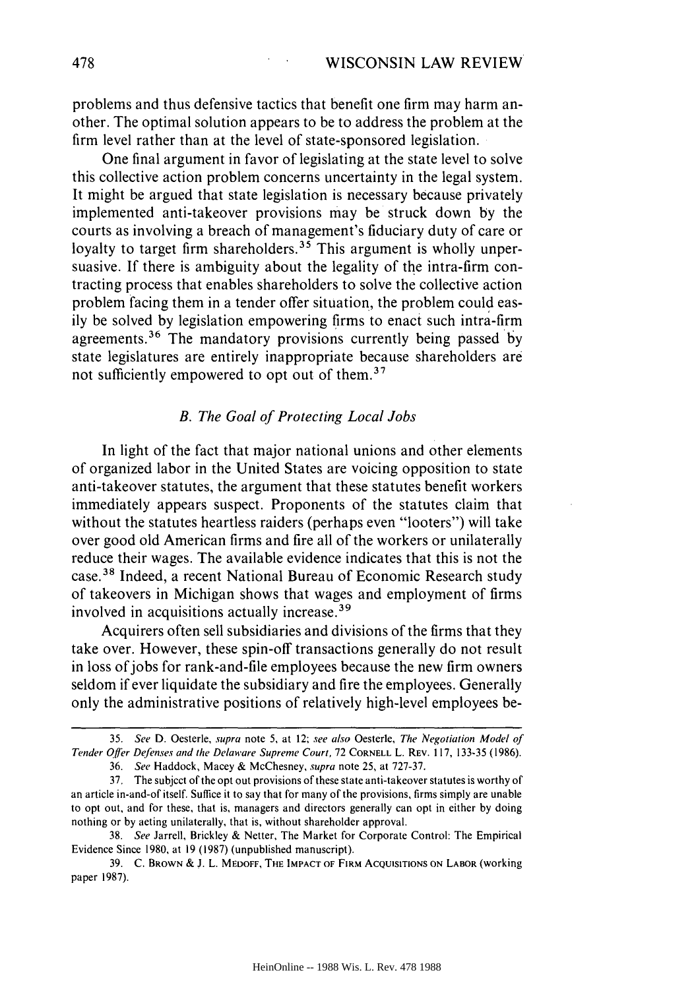problems and thus defensive tactics that benefit one firm may harm another. The optimal solution appears to be to address the problem at the firm level rather than at the level of state-sponsored legislation.

One final argument in favor of legislating at the state level to solve this collective action problem concerns uncertainty in the legal system. It might be argued that state legislation is necessary because privately implemented anti-takeover provisions may be struck down by the courts as involving a breach of management's fiduciary duty of care or loyalty to target firm shareholders.<sup>35</sup> This argument is wholly unpersuasive. If there is ambiguity about the legality of the intra-firm contracting process that enables shareholders to solve the collective action problem facing them in a tender offer situation, the problem could easily be solved by legislation empowering firms to enact such intra-firm agreements.<sup>36</sup> The mandatory provisions currently being passed by state legislatures are entirely inappropriate because shareholders are not sufficiently empowered to opt out of them. $37$ 

## *B.* The Goal of *Protecting Local Jobs*

In light of the fact that major national unions and other elements of organized labor in the United States are voicing opposition to state anti-takeover statutes, the argument that these statutes benefit workers immediately appears suspect. Proponents of the statutes claim that without the statutes heartless raiders (perhaps even "looters") will take over good old American firms and fire all of the workers or unilaterally reduce their wages. The available evidence indicates that this is not the case.38 Indeed, a recent National Bureau of Economic Research study of takeovers in Michigan shows that wages and employment of firms involved in acquisitions actually increase.<sup>39</sup>

Acquirers often sell subsidiaries and divisions of the firms that they take over. However, these spin-off transactions generally do not result in loss of jobs for rank-and-file employees because the new firm owners seldom if ever liquidate the subsidiary and fire the employees. Generally only the administrative positions of relatively high-level employees be-

<sup>35.</sup> *See* D. Oesterle, *supra* note 5, at 12; *see also* Oesterle, *The Negotiation* Model of *Tender Offer Defenses and the Delaware Supreme Court,* 72 **CORNELL** L. **REV.** 117, 133-35 (1986).

<sup>36.</sup> *See* Haddock, Macey & McChesney, *supra* note **25,** at **727-37.**

<sup>37.</sup> The subject **of** the opt out provisions of these state anti-takeover statutes is worthy of an article in-and-of itself. Suffice it to say that for many of the provisions, firms simply are unable to opt out, and for these, that is, managers and directors generally can opt in either by doing nothing or by acting unilaterally, that is, without shareholder approval.

<sup>38.</sup> *See* Jarrell, Brickley & Netter, The Market for Corporate Control: The Empirical Evidence Since 1980, at **19 (1987)** (unpublished manuscript).

**<sup>39.</sup>** C. BROWN & **J.** L. MEDOFF, **THE** IMPACT OF FIRM **ACQUISITIONS ON** LABOR (working paper **1987).**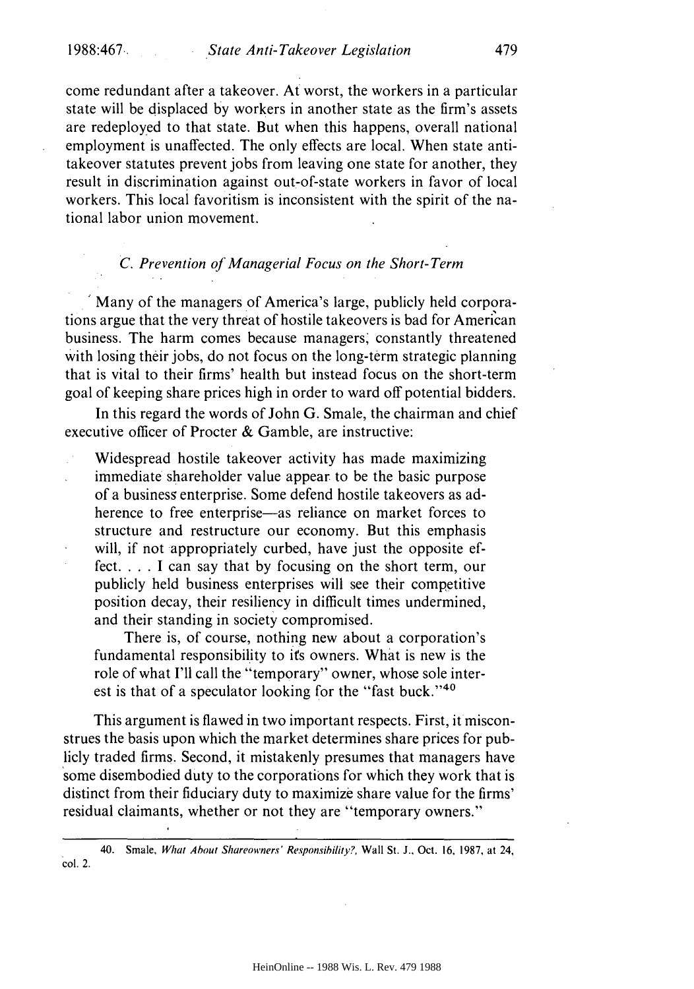come redundant after a takeover. At worst, the workers in a particular state will be displaced by workers in another state as the firm's assets are redeployed to that state. But when this happens, overall national employment is unaffected. The only effects are local. When state antitakeover statutes prevent jobs from leaving one state for another, they result in discrimination against out-of-state workers in favor of local workers. This local favoritism is inconsistent with the spirit of the national labor union movement.

## *C. Prevention of Managerial Focus on the Short-Term*

Many of the managers of America's large, publicly held corporations argue that the very threat of hostile takeovers is bad for American business. The harm comes because managers, constantly threatened with losing their jobs, do not focus on the long-term strategic planning that is vital to their firms' health but instead focus on the short-term goal of keeping share prices high in order to ward off potential bidders.

In this regard the words of John G. Smale, the chairman and chief executive officer of Procter & Gamble, are instructive:

Widespread hostile takeover activity has made maximizing immediate shareholder value appear to be the basic purpose of a business enterprise. Some defend hostile takeovers as adherence to free enterprise—as reliance on market forces to structure and restructure our economy. But this emphasis will, if not appropriately curbed, have just the opposite effect. . . . I can say that by focusing on the short term, our publicly held business enterprises will see their competitive position decay, their resiliency in difficult times undermined, and their standing in society compromised.

There is, of course, nothing new about a corporation's fundamental responsibility to its owners. What is new is the role of what I'll call the "temporary" owner, whose sole interest is that of a speculator looking for the "fast buck."<sup>40</sup>

This argument is flawed in two important respects. First, it misconstrues the basis upon which the market determines share prices for publicly traded firms. Second, it mistakenly presumes that managers have some disembodied duty to the corporations for which they work that is distinct from their fiduciary duty to maximize share value for the firms' residual claimants, whether or not they are "temporary owners."

40. Smale, What About Shareowners' Responsibility?, Wall St. J., Oct. **16,** 1987, at 24, col. 2.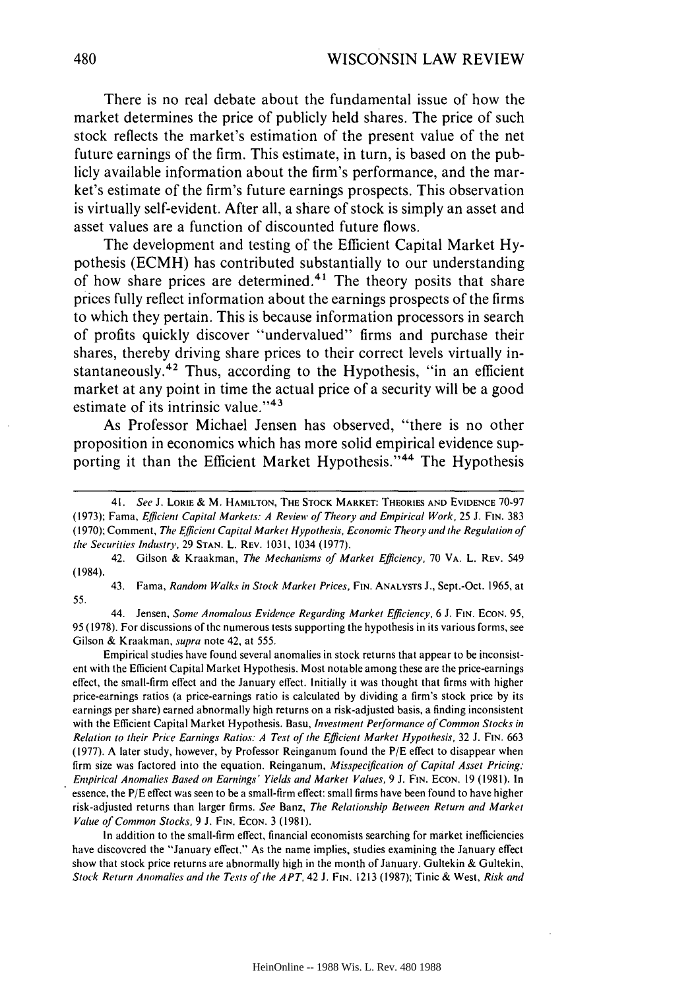There is no real debate about the fundamental issue of how the market determines the price of publicly held shares. The price of such stock reflects the market's estimation of the present value of the net future earnings of the firm. This estimate, in turn, is based on the publicly available information about the firm's performance, and the market's estimate of the firm's future earnings prospects. This observation is virtually self-evident. After all, a share of stock is simply an asset and asset values are a function of discounted future flows.

The development and testing of the Efficient Capital Market **Hy**pothesis **(ECMH)** has contributed substantially to our understanding of how share prices are determined.<sup>41</sup> The theory posits that share prices fully reflect information about the earnings prospects of the firms to which they pertain. This is because information processors in search of profits quickly discover "undervalued" firms and purchase their shares, thereby driving share prices to their correct levels virtually instantaneously. 42 Thus, according to the Hypothesis, "in an efficient market at any point in time the actual price of a security will be a good estimate of its intrinsic value."<sup>43</sup>

As Professor Michael Jensen has observed, "there is no other proposition in economics which has more solid empirical evidence supporting it than the Efficient Market Hypothesis."<sup>44</sup> The Hypothesis

43. Fama, *Random Walks in Stock Market Prices,* **FIN. ANALYSTS** J., Sept.-Oct. 1965, at 55.

44. Jensen, *Some Anomalous Evidence Regarding Market Efficiency,* 6 J. **FIN. ECON.** 95, 95 (1978). For discussions of the numerous tests supporting the hypothesis in its various forms, see Gilson & Kraakman, *supra* note 42, at 555.

Empirical studies have found several anomalies in stock returns that appear to be inconsistent with the Efficient Capital Market Hypothesis. Most notable among these are the price-earnings effect, the small-firm effect and the January effect. Initially it was thought that firms with higher price-earnings ratios (a price-earnings ratio is calculated by dividing a firm's stock price by its earnings per share) earned abnormally high returns on a risk-adjusted basis, a finding inconsistent with the Efficient Capital Market Hypothesis. Basu, *Investment Performance of Common Stocks in Relation to their Price Earnings Ratios: A Test of the Efficient Market Hypothesis,* 32 J. **FIN.** 663 (1977). A later study, however, by Professor Reinganum found the *P/E* effect to disappear when firm size was factored into the equation. Reinganum, *Misspecification of Capital Asset Pricing: Empirical Anomalies Based on Earnings' Yields and Market Values,* 9 **J. FIN. ECON.** 19 (1981). In essence, the *P/E* effect was seen to be a small-firm effect: small firms have been found to have higher risk-adjusted returns than larger firms. *See* Banz, *The Relationship Between Return and Market Value of Common Stocks,* <sup>9</sup>**J.** FIN. ECON. 3 (1981).

In addition to the small-firm effect, financial economists searching for market inefficiencies have discovered the "January effect." As the name implies, studies examining the January effect show that stock price returns are abnormally high in the month of January. Gultekin & Gultekin, *Stock Return Anomalies and the Tests of the APT.* 42 **J. FIN.** 1213 (1987); Tinic & West, *Risk and*

<sup>41.</sup> See J. LORIE & M. **HAMILTON, THE** STOCK MARKET: THEORIES **AND** EVIDENCE 70-97 (1973); Fama, *Efficient* Capital Markets: A *Review of Theory and Empirical Work,* 25 J. **FIN.** 383 (1970); Comment, *The Efficient Capital Market Hypothesis, Economic Theory and the Regulation of the Securities Industry,* 29 **STAN.** L. REV. 1031, 1034 (1977).

<sup>42.</sup> Gilson & Kraakman, *The Mechanisms of Market Efficiency,* 70 VA. L. REV. 549 (1984).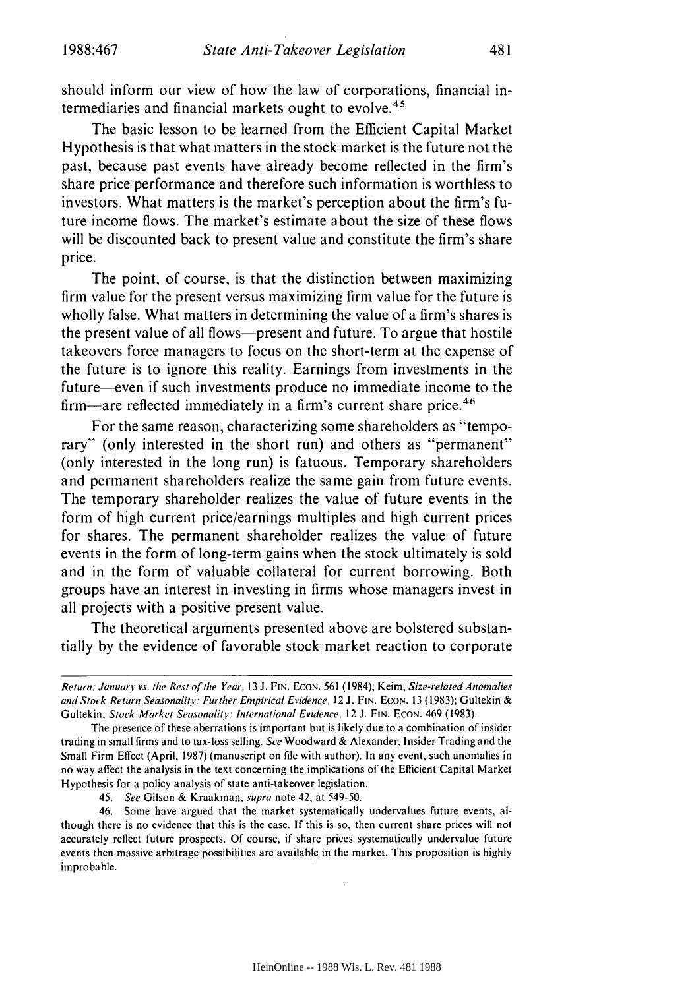should inform our view of how the law of corporations, financial intermediaries and financial markets ought to evolve.<sup>45</sup>

The basic lesson to be learned from the Efficient Capital Market Hypothesis is that what matters in the stock market is the future not the past, because past events have already become reflected in the firm's share price performance and therefore such information is worthless to investors. What matters is the market's perception about the firm's future income flows. The market's estimate about the size of these flows will be discounted back to present value and constitute the firm's share price.

The point, of course, is that the distinction between maximizing firm value for the present versus maximizing firm value for the future is wholly false. What matters in determining the value of a firm's shares is the present value of all flows-present and future. To argue that hostile takeovers force managers to focus on the short-term at the expense of the future is to ignore this reality. Earnings from investments in the future—even if such investments produce no immediate income to the firm—are reflected immediately in a firm's current share price.<sup>46</sup>

For the same reason, characterizing some shareholders as "temporary" (only interested in the short run) and others as "permanent" (only interested in the long run) is fatuous. Temporary shareholders and permanent shareholders realize the same gain from future events. The temporary shareholder realizes the value of future events in the form of high current price/earnings multiples and high current prices for shares. The permanent shareholder realizes the value of future events in the form of long-term gains when the stock ultimately is sold and in the form of valuable collateral for current borrowing. Both groups have an interest in investing in firms whose managers invest in all projects with a positive present value.

The theoretical arguments presented above are bolstered substantially by the evidence of favorable stock market reaction to corporate

45. See Gilson & Kraakman, supra note 42, at 549-50.

46. Some have argued that the market systematically undervalues future events, although there is no evidence that this is the case. If this is so, then current share prices will not accurately reflect future prospects. Of course, if share prices systematically undervalue future events then massive arbitrage possibilities are available in the market. This proposition is highly improbable.

Return: January' *vs. the* Rest **of** the Year, 13 J. FIN. ECON. 561 (1984); Keim, Size-related Anomalies and Stock Return Seasonality: Further Empirical Evidence, 12 **J. FIN. ECON.** 13 (1983); Gultekin & Gultekin, Stock Market Seasonality: International Evidence, 12 J. **FIN. ECON.** 469 (1983).

The presence of these aberrations is important but is likely due to a combination of insider trading in small firms and to tax-loss selling. See Woodward & Alexander, Insider Trading and the Small Firm Effect (April, 1987) (manuscript on file with author). In any event, such anomalies in no way affect the analysis in the text concerning the implications of the Efficient Capital Market Hypothesis for a policy analysis of state anti-takeover legislation.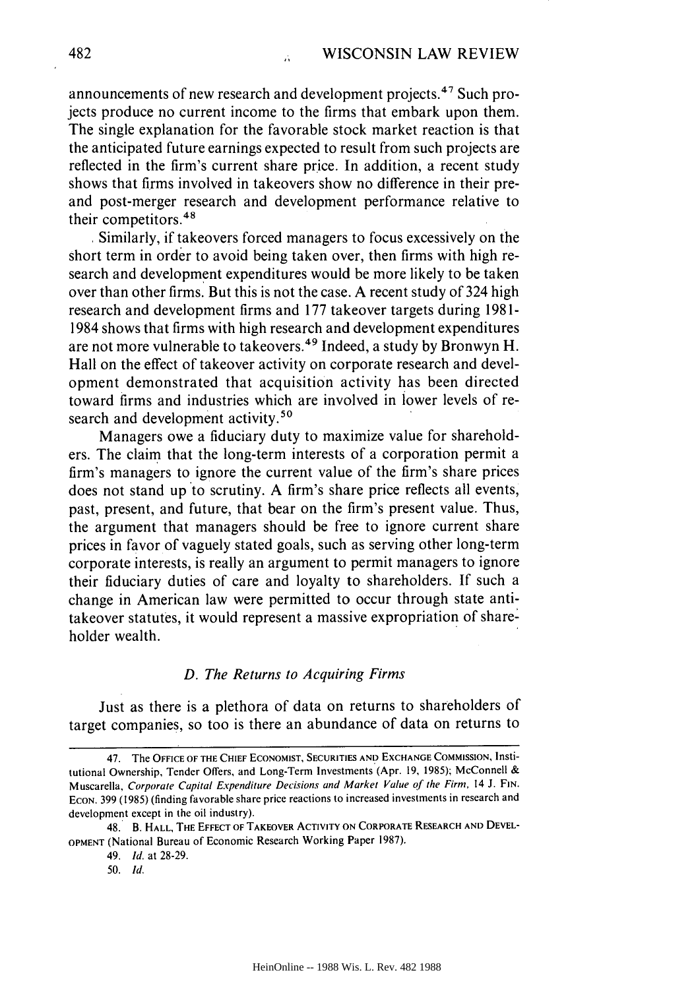announcements of new research and development projects.47 Such projects produce no current income to the firms that embark upon them. The single explanation for the favorable stock market reaction is that the anticipated future earnings expected to result from such projects are reflected in the firm's current share price. In addition, a recent study shows that firms involved in takeovers show no difference in their preand post-merger research and development performance relative to their competitors.<sup>48</sup>

Similarly, if takeovers forced managers to focus excessively on the short term in order to avoid being taken over, then firms with high research and development expenditures would be more likely to be taken over than other firms. But this is not the case. A recent study of 324 high research and development firms and 177 takeover targets during 1981- 1984 shows that firms with high research and development expenditures are not more vulnerable to takeovers. 49 Indeed, a study by Bronwyn H. Hall on the effect of takeover activity on corporate research and development demonstrated that acquisition activity has been directed toward firms and industries which are involved in lower levels of research and development activity.<sup>50</sup>

Managers owe a fiduciary duty to maximize value for shareholders. The claim that the long-term interests of a corporation permit a firm's managers to ignore the current value of the firm's share prices does not stand up to scrutiny. A firm's share price reflects all events, past, present, and future, that bear on the firm's present value. Thus, the argument that managers should be free to ignore current share prices in favor of vaguely stated goals, such as serving other long-term corporate interests, is really an argument to permit managers to ignore their fiduciary duties of care and loyalty to shareholders. If such a change in American law were permitted to occur through state antitakeover statutes, it would represent a massive expropriation of shareholder wealth.

## *D. The Returns to Acquiring Firms*

Just as there is a plethora of data on returns to shareholders of target companies, so too is there an abundance of data on returns to

<sup>47.</sup> The **OFFICE** OF THE **CHIEF ECONOMIST, SECURITIES AND EXCHANGE COMMISSION,** Institutional Ownership, Tender Offers, and Long-Term Investments (Apr. 19, 1985); McConnell & Muscarella, Corporate Capital Expenditure Decisions and Market Value of the Firm, 14 J. **FIN. ECON.** 399 (1985) (finding favorable share price reactions to increased investments in research and development except in the oil industry).

<sup>48.</sup> B. HALL, **THE EFFECT** OF TAKEOVER ACTIVITY **ON** CORPORATE RESEARCH **AND DEVEL-OPMENT** (National Bureau of Economic Research Working Paper 1987).

<sup>49.</sup> *Id.* at 28-29.

<sup>50.</sup> *Id.*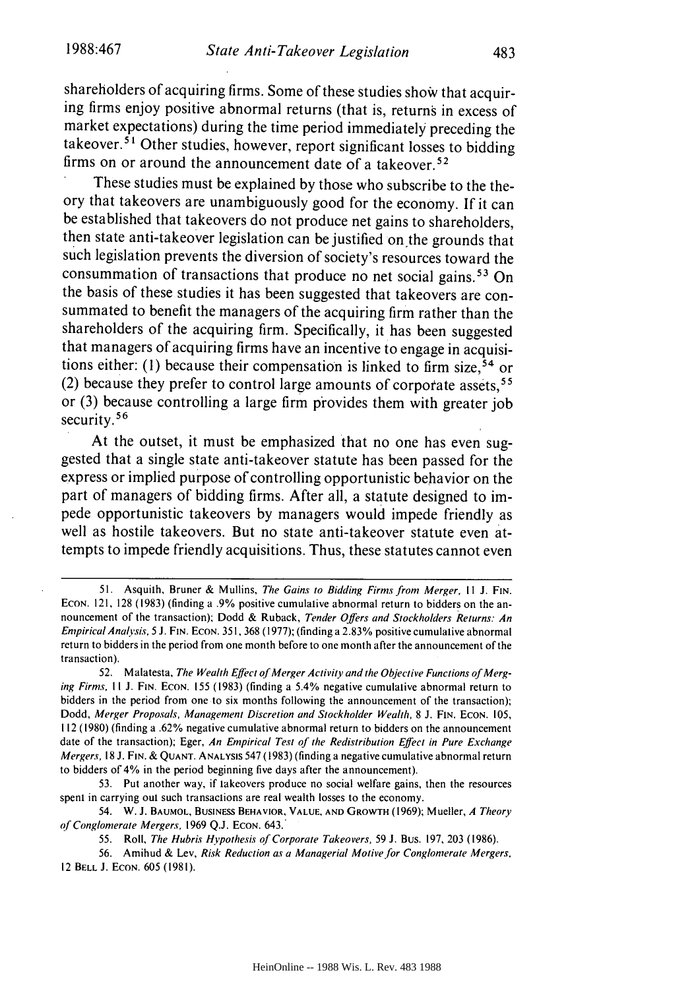shareholders of acquiring firms. Some of these studies show that acquiring firms enjoy positive abnormal returns (that is, returns in excess of market expectations) during the time period immediately preceding the  $\mu$  takeover.<sup>51</sup> Other studies, however, report significant losses to bidding firms on or around the announcement date of a takeover. <sup>52</sup>

These studies must be explained by those who subscribe to the theory that takeovers are unambiguously good for the economy. If it can be established that takeovers do not produce net gains to shareholders, then state anti-takeover legislation can be justified on the grounds that such legislation prevents the diversion of society's resources toward the consummation of transactions that produce no net social gains.<sup>53</sup> On the basis of these studies it has been suggested that takeovers are consummated to benefit the managers of the acquiring firm rather than the shareholders of the acquiring firm. Specifically, it has been suggested that managers of acquiring firms have an incentive to engage in acquisitions either: (1) because their compensation is linked to firm size,<sup>54</sup> or (2) because they prefer to control large amounts of corporate assets, <sup>55</sup> or (3) because controlling a large firm provides them with greater job security.<sup>56</sup>

At the outset, it must be emphasized that no one has even suggested that a single state anti-takeover statute has been passed for the express or implied purpose of controlling opportunistic behavior on the part of managers of bidding firms. After all, a statute designed to impede opportunistic takeovers by managers would impede friendly as well as hostile takeovers. But no state anti-takeover statute even attempts to impede friendly acquisitions. Thus, these statutes cannot even

54. W. **J. BAUMOL,** BUSINESS BEHAVIOR, **VALUE, AND** GROWTH (1969); Mueller, A Theory of Conglomerate Mergers, **1969** Q.J. **ECON.** 643.

55. Roll, The Hubris *Hypothesis of* Corporate Takeovers, 59 J. Bus. 197, 203 (1986).

56. Amihud & Lev, Risk Reduction as a Managerial Motive for Conglomerate Mergers. 12 BELL **J. ECON.** 605 (1981).

**<sup>51.</sup>** Asquith, Bruner & Mullins, The Gains to Bidding Firms from Merger, Il **J.** FIN. ECON. 121, 128 (1983) (finding a .9% positive cumulative abnormal return to bidders on the announcement of the transaction); Dodd & Ruback, Tender Offers and Stockholders Returns: An Empirical Analysis, 5 J. FIN. ECON. **351,** 368 (1977); (finding a 2.83% positive cumulative abnormal return to bidders in the period from one month before to one month after the announcement of the transaction).

<sup>52.</sup> M alatesta, The Wealth Effect *of* Merger Activity and the Objective Functions of Merging Firms. *II* **J.** FIN. ECON. 155 (1983) (finding a 5.4% negative cumulative abnormal return to bidders in the period from one to six months following the announcement of the transaction); Dodd, Merger Proposals, Management Discretion and Stockholder Wealth, 8 J. FIN. ECON. 105, 112 (1980) (finding a .62% negative cumulative abnormal return to bidders on the announcement date of the transaction); Eger, An Empirical Test of the Redistribution Effect in Pure Exchange Mergers, 18 J. **FIN.** & **QUANT. ANALYSIS** 547 (1983) (finding a negative cumulative abnormal return to bidders of 4% in the period beginning five days after the announcement).

<sup>53.</sup> Put another way, if takeovers produce no social welfare gains, then the resources spent in carrying out such transactions are real wealth losses to the economy.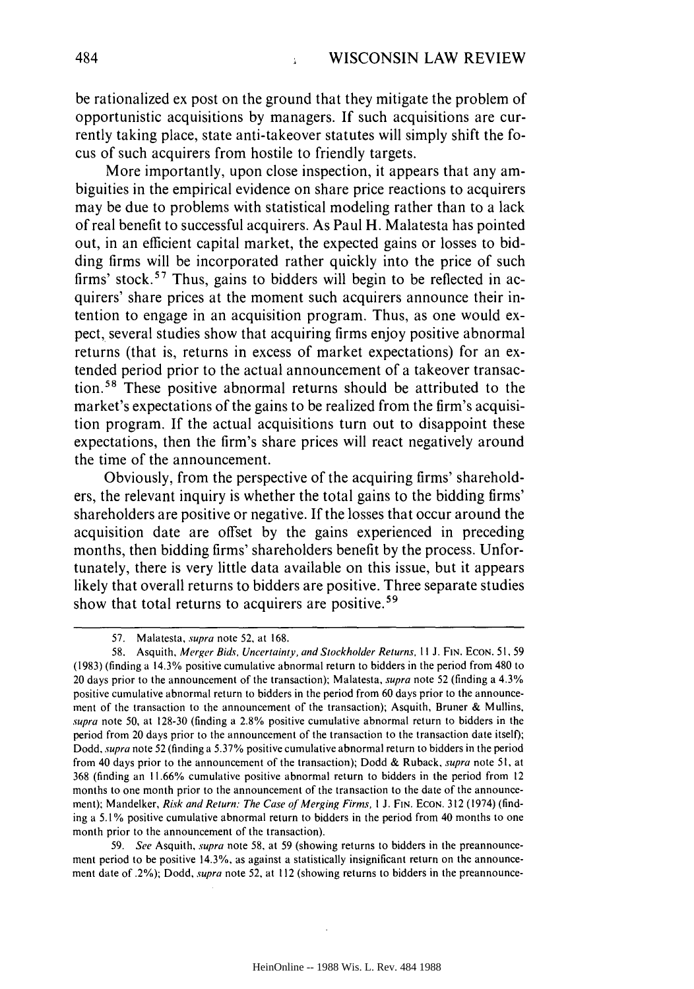be rationalized ex post on the ground that they mitigate the problem of opportunistic acquisitions by managers. If such acquisitions are currently taking place, state anti-takeover statutes will simply shift the focus of such acquirers from hostile to friendly targets.

More importantly, upon close inspection, it appears that any ambiguities in the empirical evidence on share price reactions to acquirers may be due to problems with statistical modeling rather than to a lack of real benefit to successful acquirers. As Paul H. Malatesta has pointed out, in an efficient capital market, the expected gains or losses to bidding firms will be incorporated rather quickly into the price of such firms' stock.<sup>57</sup> Thus, gains to bidders will begin to be reflected in acquirers' share prices at the moment such acquirers announce their intention to engage in an acquisition program. Thus, as one would expect, several studies show that acquiring firms enjoy positive abnormal returns (that is, returns in excess of market expectations) for an extended period prior to the actual announcement of a takeover transaction.58 These positive abnormal returns should be attributed to the market's expectations of the gains to be realized from the firm's acquisition program. If the actual acquisitions turn out to disappoint these expectations, then the firm's share prices will react negatively around the time of the announcement.

Obviously, from the perspective of the acquiring firms' shareholders, the relevant inquiry is whether the total gains to the bidding firms' shareholders are positive or negative. If the losses that occur around the acquisition date are offset by the gains experienced in preceding months, then bidding firms' shareholders benefit by the process. Unfortunately, there is very little data available on this issue, but it appears likely that overall returns to bidders are positive. Three separate studies show that total returns to acquirers are positive.<sup>59</sup>

59. *See* Asquith, *supra* note 58, at 59 (showing returns to bidders in the preannouncement period to be positive 14.3%, as against a statistically insignificant return on the announcement date of .2%): Dodd, supra note **52,** at 112 (showing returns to bidders in the preannounce-

<sup>57.</sup> Malatesta, *supra* note 52, at 168.

<sup>58.</sup> Asquith, *Merger Bids, Uncertainty, and Stockholder Returns,* **II J.** FIN. ECON. 51, 59 (1983) (finding a 14.3% positive cumulative abnormal return to bidders in the period from 480 to 20 days prior to the announcement of the transaction); Malatesta, *supra* note 52 (finding a 4.3% positive cumulative abnormal return to bidders in the period from 60 days prior to the announcement of the transaction to the announcement of the transaction); Asquith, Bruner & Mullins, *supra* note 50, at 128-30 (finding a 2.8% positive cumulative abnormal return to bidders in the period from 20 days prior to the announcement of the transaction to the transaction date itself); Dodd, *supra* note 52 (finding a 5.37% positive cumulative abnormal return to bidders in the period from 40 days prior to the announcement of the transaction); Dodd & Ruback, *supra* note 51, at 368 (finding an 11.66% cumulative positive abnormal return to bidders in the period from 12 months to one month prior to the announcement of the transaction to the date of the announcement); Mandelker, *Risk and Return: The Case of Merging Firms,* **I** J. FIN. ECON. 312 (1974) (finding a 5.1% positive cumulative abnormal return to bidders in the period from 40 months to one month prior to the announcement of the transaction).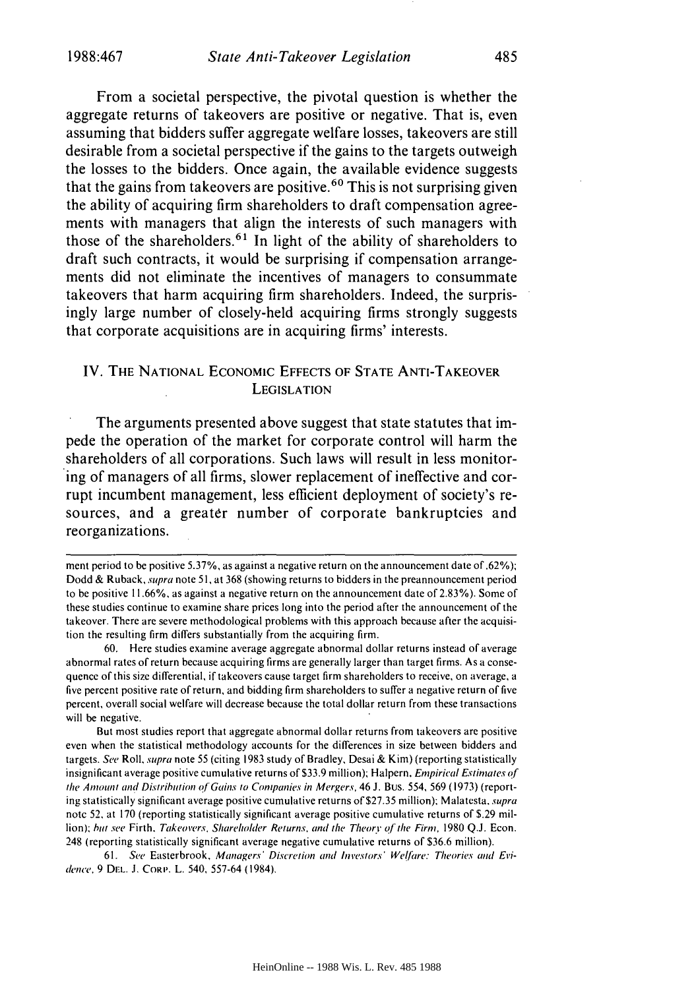From a societal perspective, the pivotal question is whether the aggregate returns of takeovers are positive or negative. That is, even assuming that bidders suffer aggregate welfare losses, takeovers are still desirable from a societal perspective if the gains to the targets outweigh the losses to the bidders. Once again, the available evidence suggests that the gains from takeovers are positive.<sup>60</sup> This is not surprising given the ability of acquiring firm shareholders to draft compensation agreements with managers that align the interests of such managers with those of the shareholders.<sup>61</sup> In light of the ability of shareholders to draft such contracts, it would be surprising if compensation arrangements did not eliminate the incentives of managers to consummate takeovers that harm acquiring firm shareholders. Indeed, the surprisingly large number of closely-held acquiring firms strongly suggests that corporate acquisitions are in acquiring firms' interests.

## IV. **THE NATIONAL** ECONOMIC **EFFECTS** OF **STATE** ANTI-TAKEOVER **LEGISLATION**

The arguments presented above suggest that state statutes that impede the operation of the market for corporate control will harm the shareholders of all corporations. Such laws will result in less monitoring of managers of all firms, slower replacement of ineffective and corrupt incumbent management, less efficient deployment of society's resources, and a greater number of corporate bankruptcies and reorganizations.

60. Here studies examine average aggregate abnormal dollar returns instead of average abnormal rates of return because acquiring firms are generally larger than target firms. As a consequence of this size differential, if takeovers cause target firm shareholders to receive, on average, a five percent positive rate of return, and bidding firm shareholders to suffer a negative return of five percent, overall social welfare will decrease because the total dollar return from these transactions will be negative.

But most studies report that aggregate abnormal dollar returns from takeovers are positive even when the statistical methodology accounts for the differences in size between bidders and targets. See Roll, supra note 55 (citing 1983 study of Bradley, Desai & Kim) (reporting statistically insignificant average positive cumulative returns of \$33.9 million); Halpern. *Empirical* Estimates **of** *the Amount* and Distribution ofGains to Companies in Mergers, 46 J. Bus. 554, 569 (1973) (reporting statistically significant average positive cumulative returns of \$27.35 million); Malatesta, supra note **52,** at 170 (reporting statistically significant average positive cumulative returns of \$.29 million); *hut* see Firth. Takeovers, Shareholder Returns, and the Theor *"* of */the* Firm, 1980 **Q.J.** Econ. 248 (reporting statistically significant average negative cumulative returns of \$36.6 million).

61. See Easterbrook, Managers' Discretion and *Investors'* Welfare: Theories and *Eri*dence, 9 DEL. J. CORP. L. 540, 557-64 (1984).

ment period to be positive 5.37%, as against a negative return on the announcement date of.62%); Dodd & Ruback, supra note **51,** at 368 (showing returns to bidders in the preannouncement period to be positive 11.66%, as against a negative return on the announcement date of 2.83%). Some of these studies continue to examine share prices long into the period after the announcement of the takeover. There are severe methodological problems with this approach because after the acquisition the resulting firm differs substantially from the acquiring firm.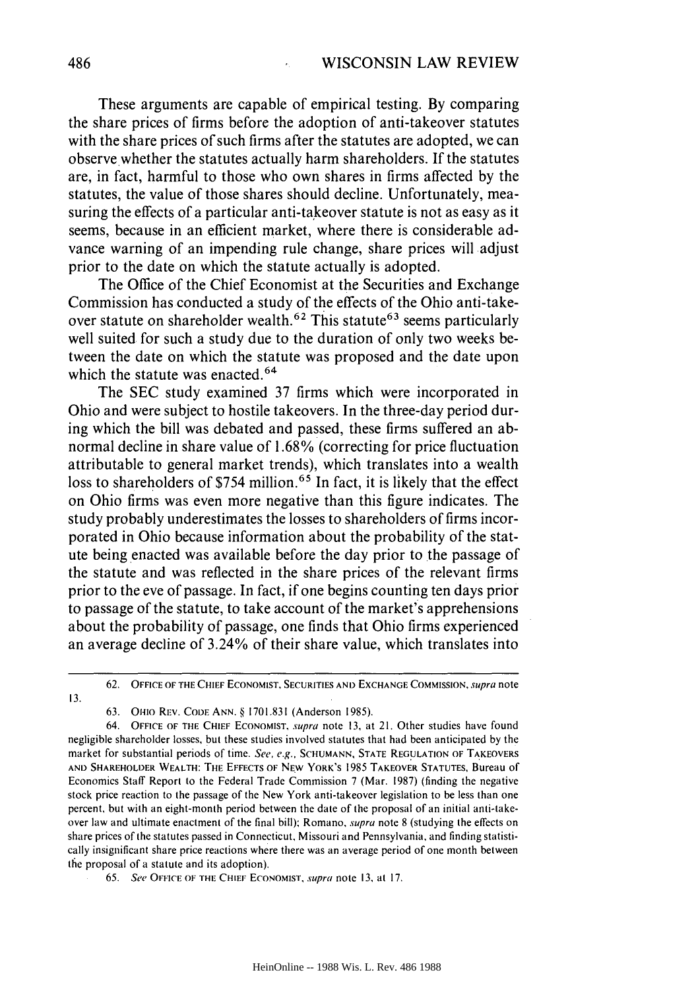These arguments are capable of empirical testing. By comparing the share prices of firms before the adoption of anti-takeover statutes with the share prices of such firms after the statutes are adopted, we can observe whether the statutes actually harm shareholders. If the statutes are, in fact, harmful to those who own shares in firms affected by the statutes, the value of those shares should decline. Unfortunately, measuring the effects of a particular anti-takeover statute is not as easy as it seems, because in an efficient market, where there is considerable advance warning of an impending rule change, share prices will adjust prior to the date on which the statute actually is adopted.

The Office of the Chief Economist at the Securities and Exchange Commission has conducted a study of the effects of the Ohio anti-takeover statute on shareholder wealth.<sup>62</sup> This statute<sup>63</sup> seems particularly well suited for such a study due to the duration of only two weeks between the date on which the statute was proposed and the date upon which the statute was enacted.  $64$ 

The SEC study examined 37 firms which were incorporated in Ohio and were subject to hostile takeovers. In the three-day period during which the bill was debated and passed, these firms suffered an abnormal decline in share value of 1.68% (correcting for price fluctuation attributable to general market trends), which translates into a wealth loss to shareholders of \$754 million.<sup>65</sup> In fact, it is likely that the effect on Ohio firms was even more negative than this figure indicates. The study probably underestimates the losses to shareholders of firms incorporated in Ohio because information about the probability of the statute being enacted was available before the day prior to the passage of the statute and was reflected in the share prices of the relevant firms prior to the eve of passage. In fact, if one begins counting ten days prior to passage of the statute, to take account of the market's apprehensions about the probability of passage, one finds that Ohio firms experienced an average decline of 3.24% of their share value, which translates into

63. **OHIO REV. CODE ANN.** § **1701.831** (Anderson 1985).

**13.**

<sup>62.</sup> **OFFICE** OF **THE CHIEF ECONOMIST, SECURITIES AND EXCHANGE** COMMISSION. supra note

<sup>64.</sup> **OFFICE OF THE CHIEF ECONOMIST,** supra note **13,** at 21. Other studies have found negligible shareholder losses, but these studies involved statutes that had been anticipated by the market for substantial periods of time. See, e.g., SCHUMANN, STATE REGULATION OF TAKEOVERS **AND** SHAREHOLDER WEALTH: THE **EFFECTS** OF **NEW** YORK'S 1985 TAKEOVER **STATUTES,** Bureau of Economics Staff Report to the Federal Trade Commission 7 (Mar. **1987)** (finding the negative stock price reaction to the passage of the New York anti-takeover legislation to be less than one percent, but with an eight-month period between the date of the proposal of an initial anti-takeover law and ultimate enactment of the final bill); Romano, *supra* note 8 (studying the effects on share prices of the statutes passed in Connecticut, Missouri and Pennsylvania, and finding statistically insignificant share price reactions where there was an average period of one month between **the** proposal of a statute and its adoption).

<sup>65.</sup> See **OFFICE** OF **THE CHIEF ECONOMIST,** supra note **13, at 17.**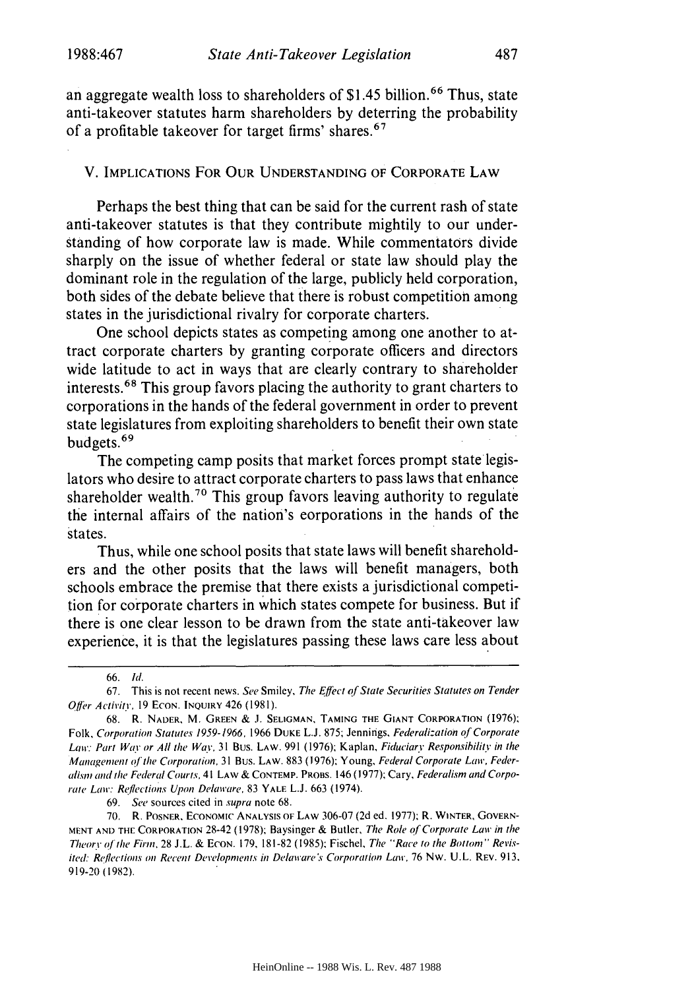an aggregate wealth loss to shareholders of \$1.45 billion.66 Thus, state anti-takeover statutes harm shareholders by deterring the probability of a profitable takeover for target firms' shares.67

## V. IMPLICATIONS FOR OUR **UNDERSTANDING** OF CORPORATE LAW

Perhaps the best thing that can be said for the current rash of state anti-takeover statutes is that they contribute mightily to our understanding of how corporate law is made. While commentators divide sharply on the issue of whether federal or state law should play the dominant role in the regulation of the large, publicly held corporation, both sides of the debate believe that there is robust competition among states in the jurisdictional rivalry for corporate charters.

One school depicts states as competing among one another to attract corporate charters by granting corporate officers and directors wide latitude to act in ways that are clearly contrary to shareholder interests.<sup>68</sup> This group favors placing the authority to grant charters to corporations in the hands of the federal government in order to prevent state legislatures from exploiting shareholders to benefit their own state budgets.<sup>69</sup>

The competing camp posits that market forces prompt state legislators who desire to attract corporate charters to pass laws that enhance shareholder wealth.<sup>70</sup> This group favors leaving authority to regulate the internal affairs of the nation's corporations in the hands of the states.

Thus, while one school posits that state laws will benefit shareholders and the other posits that the laws will benefit managers, both schools embrace the premise that there exists a jurisdictional competition for corporate charters in which states compete for business. But if there is one clear lesson to be drawn from the state anti-takeover law experience, it is that the legislatures passing these laws care less about

69. See sources cited in supra note 68.

<sup>66.</sup> *Id.*

<sup>67.</sup> This is not recent news. See Smiley, The *Effect* of *State Securities Statutes* on *Tender Offtr Activity,* 19 ECON. **INQUIRY** 426 (1981).

<sup>68.</sup> R. **NADER,** M. **GREEN** & **J. SELIGMAN, TAMING THE GIANT** CORPORATION (1976); Folk, *Corporation* Statutes 1959-1966, 1966 **DUKE** L.J. 875; Jennings, Federalization *of* Corporate Law: Part Way or All the Way, 31 Bus. LAW. 991 (1976); Kaplan, Fiduciary Responsibility in the *Management of the Corporation,* 31 Bus. LAW. 883 (1976); Young, Federal Corporate Law, Federalismi and **the** *Federal Courts,* 41 LAW & **CONTEMP.** PROBs. 146 (1977); Cary, *Federalism and Corporate Low: Reflections Upon Delaware,* 83 YALE **L.J. 663** (1974).

<sup>70.</sup> R. POSNER, ECONOMIC **ANALYSIS OF** LAW 306-07 (2d ed. 1977); R. WINTER, GOVERN-**MENT AND THE** CORPORATION 28-42 (1978); Baysinger & Butler, *The Role ofCorporate Law* in *the Theory ofthe Firol,* 28 J.L. **&** ECON. 179, 181-82 **(1985):** Fischel, The "Race *to the Bottom" Revisited: Reflections on Recent Developments in Delavare's Corporation Law,* **76** Nw. **U.L.** REV. 913, 919-20 (1982).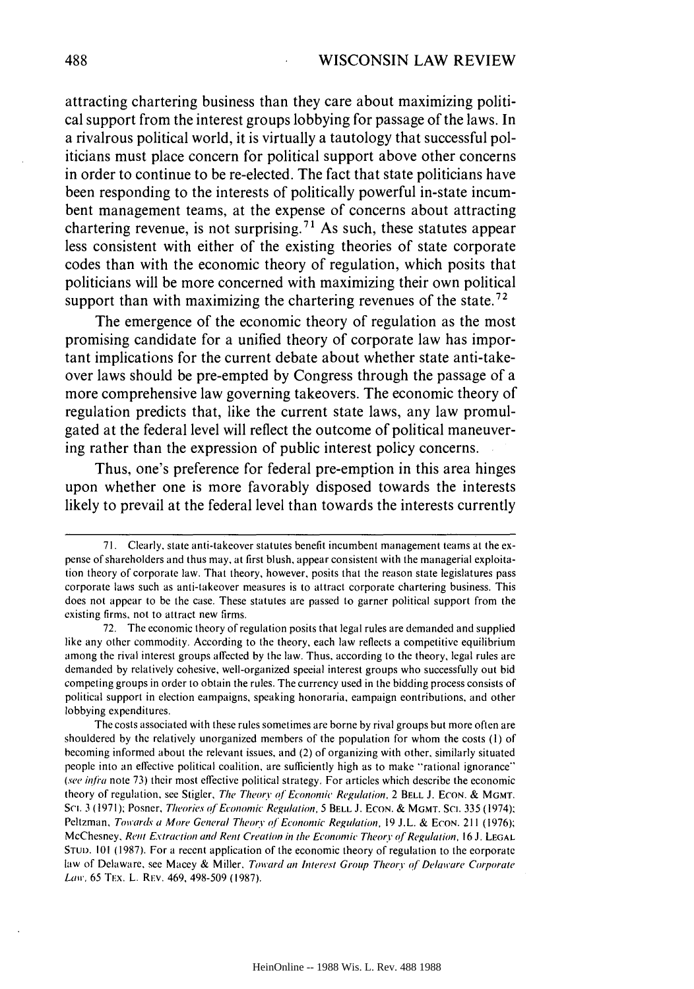attracting chartering business than they care about maximizing political support from the interest groups lobbying for passage of the laws. In a rivalrous political world, it is virtually a tautology that successful politicians must place concern for political support above other concerns in order to continue to be re-elected. The fact that state politicians have been responding to the interests of politically powerful in-state incumbent management teams, at the expense of concerns about attracting chartering revenue, is not surprising.<sup>71</sup> As such, these statutes appear less consistent with either of the existing theories of state corporate codes than with the economic theory of regulation, which posits that politicians will be more concerned with maximizing their own political support than with maximizing the chartering revenues of the state.<sup>72</sup>

The emergence of the economic theory of regulation as the most promising candidate for a unified theory of corporate law has important implications for the current debate about whether state anti-takeover laws should be pre-empted **by** Congress through the passage of a more comprehensive law governing takeovers. The economic theory of regulation predicts that, like the current state laws, any law promulgated at the federal level will reflect the outcome of political maneuvering rather than the expression of public interest policy concerns.

Thus, one's preference for federal pre-emption in this area hinges upon whether one is more favorably disposed towards the interests likely to prevail at the federal level than towards the interests currently

<sup>71.</sup> Clearly, state anti-takeover statutes benefit incumbent management teams at the expense of shareholders and thus may, at first blush, appear consistent with the managerial exploitation theory of corporate law. That theory, however, posits that the reason state legislatures pass corporate laws such as anti-takeover measures is to attract corporate chartering business. This does not appear to be the case. These statutes are passed to garner political support from the existing firms, not to attract new firms.

<sup>72.</sup> The economic theory of regulation posits that legal rules are demanded and supplied like any other commodity. According to the theory, each law reflects a competitive equilibrium among the rival interest groups affected by the law. Thus, according to the theory, legal rules are demanded by relatively cohesive, well-organized special interest groups who successfully out bid competing groups in order to obtain the rules. The currency used in the bidding process consists of political support in election campaigns, speaking honoraria, campaign contributions, and other lobbying expenditures.

The costs associated with these rules sometimes are borne by rival groups but more often are shouldered by the relatively unorganized members of the population for whom the costs (I) of becoming informed about the relevant issues, and (2) of organizing with other, similarly situated people into an effective political coalition, are sufficiently high as to make "rational ignorance" (see infra note 73) their most effective political strategy. For articles which describe the economic theory of regulation, see Stigler, The Theory of Economic Regulation, 2 BELL J. ECON. & **MGMT.** Sci. 3 (1971); Posner, Theories of Economic Regulation, 5 BELL J. ECON. & MGMT. Sci. 335 (1974); Peltzman, Towards a More General Theory of Economic Regulation, 19 **J.L.** & **ECON.** 211 (1976); McChesney, Rent Extraction and Rent Creation in the Economic TheorYof *R'egulation.* 16 J. **LEGAL STuD.** 101 (1987). For a recent application of the economic theory of regulation to the corporate law of Delaware, see Macey & Miller, Toward *an* Interest Group Theory *qf* Delaware Corporate *Law, 65 TEX, L. REV, 469, 498-509 (1987).*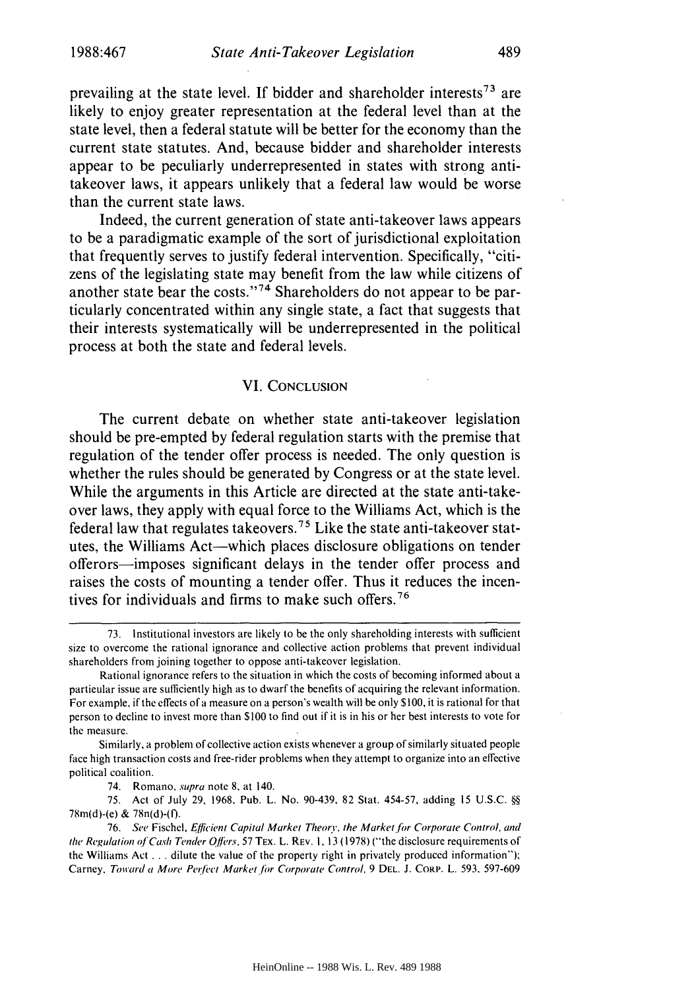prevailing at the state level. If bidder and shareholder interests<sup>73</sup> are likely to enjoy greater representation at the federal level than at the state level, then a federal statute will be better for the economy than the current state statutes. And, because bidder and shareholder interests appear to be peculiarly underrepresented in states with strong antitakeover laws, it appears unlikely that a federal law would be worse than the current state laws.

Indeed, the current generation of state anti-takeover laws appears to be a paradigmatic example of the sort of jurisdictional exploitation that frequently serves to justify federal intervention. Specifically, "citizens of the legislating state may benefit from the law while citizens of another state bear the costs."<sup>74</sup> Shareholders do not appear to be particularly concentrated within any single state, a fact that suggests that their interests systematically will be underrepresented in the political process at both the state and federal levels.

#### VI. **CONCLUSION**

The current debate on whether state anti-takeover legislation should be pre-empted by federal regulation starts with the premise that regulation of the tender offer process is needed. The only question is whether the rules should be generated by Congress or at the state level. While the arguments in this Article are directed at the state anti-takeover laws, they apply with equal force to the Williams Act, which is the federal law that regulates takeovers.<sup>75</sup> Like the state anti-takeover statutes, the Williams Act-which places disclosure obligations on tender offerors-imposes significant delays in the tender offer process and raises the costs of mounting a tender offer. Thus it reduces the incentives for individuals and firms to make such offers.<sup>76</sup>

<sup>73.</sup> Institutional investors are likely to be the only shareholding interests with sufficient size to overcome the rational ignorance and collective action problems that prevent individual shareholders from joining together to oppose anti-takeover legislation.

Rational ignorance refers to the situation in which the costs of becoming informed about a particular issue are sufficiently high as to dwarf the benefits of acquiring the relevant information. For example, if the effects of a measure on a person's wealth will be only **\$** 100, it is rational for that person to decline to invest more than \$100 to find out if it is in his or her best interests to vote for the measure.

Similarly, a problem of collective action exists whenever a group of similarly situated people face high transaction costs and free-rider problems when they attempt to organize into an effective political coalition.

<sup>74.</sup> Romano, supra note 8, at 140.

<sup>75.</sup> Act of July 29, 1968, Pub. L. No. 90-439, 82 Stat. 454-57, adding 15 U.S.C. *§§* 78m(d)-(e) & 78n(d)-(f).

<sup>76.</sup> See Fischel, Efficient Capital Market Theory, the Market for Corporate Control, and the Regulation of Cash Tender Offers, 57 TEx. L. REv. 1, 13 (1978) ("the disclosure requirements of the Williams Act .**.** .dilute the value of the property right in privately produced information"); Carney, Toward a More Perfect Market for Corporate Control, 9 DEL. J. CORP. L. 593, 597-609